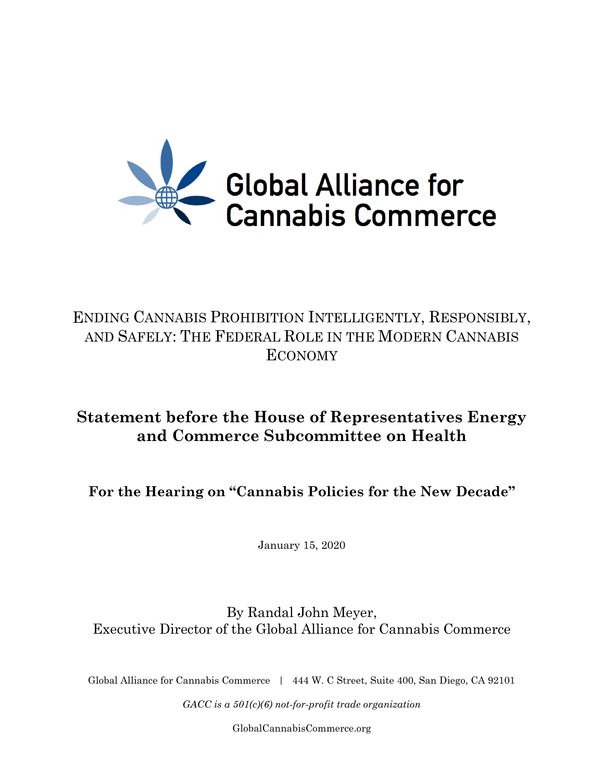

# ENDING CANNABIS PROHIBITION INTELLIGENTLY, RESPONSIBLY, AND SAFELY: THE FEDERAL ROLE IN THE MODERN CANNABIS ECONOMY

# **Statement before the House of Representatives Energy and Commerce Subcommittee on Health**

**For the Hearing on "Cannabis Policies for the New Decade"**

January 15, 2020

By Randal John Meyer, Executive Director of the Global Alliance for Cannabis Commerce

Global Alliance for Cannabis Commerce | 444 W. C Street, Suite 400, San Diego, CA 92101

*GACC is a 501(c)(6) not-for-profit trade organization*

[GlobalCannabisCommerce.org](http://globalcannabiscommerce.org/)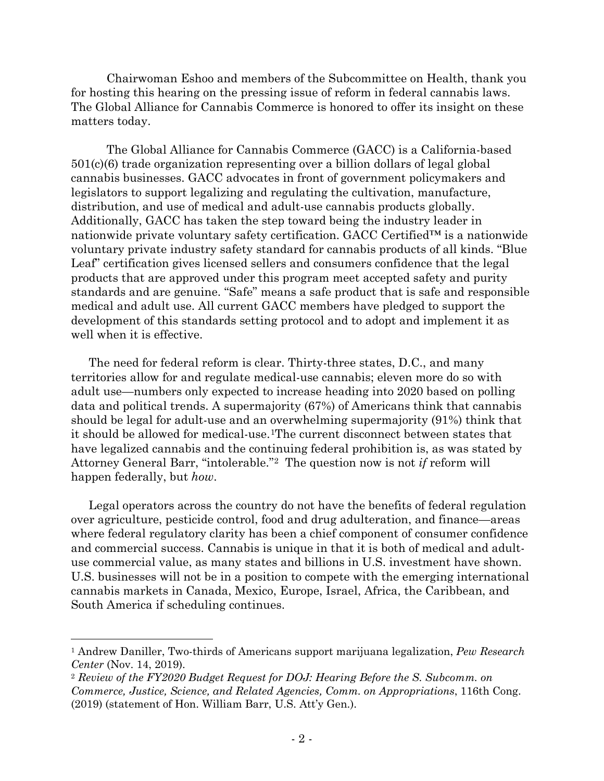Chairwoman Eshoo and members of the Subcommittee on Health, thank you for hosting this hearing on the pressing issue of reform in federal cannabis laws. The Global Alliance for Cannabis Commerce is honored to offer its insight on these matters today.

The Global Alliance for Cannabis Commerce (GACC) is a California-based 501(c)(6) trade organization representing over a billion dollars of legal global cannabis businesses. GACC advocates in front of government policymakers and legislators to support legalizing and regulating the cultivation, manufacture, distribution, and use of medical and adult-use cannabis products globally. Additionally, GACC has taken the step toward being the industry leader in nationwide private voluntary safety certification. GACC Certified™ is a nationwide voluntary private industry safety standard for cannabis products of all kinds. "Blue Leaf" certification gives licensed sellers and consumers confidence that the legal products that are approved under this program meet accepted safety and purity standards and are genuine. "Safe" means a safe product that is safe and responsible medical and adult use. All current GACC members have pledged to support the development of this standards setting protocol and to adopt and implement it as well when it is effective.

The need for federal reform is clear. Thirty-three states, D.C., and many territories allow for and regulate medical-use cannabis; eleven more do so with adult use—numbers only expected to increase heading into 2020 based on polling data and political trends. A supermajority (67%) of Americans think that cannabis should be legal for adult-use and an overwhelming supermajority (91%) think that it should be allowed for medical-use.[1T](#page-1-0)he current disconnect between states that have legalized cannabis and the continuing federal prohibition is, as was stated by Attorney General Barr, "intolerable."[2](#page-1-1) The question now is not *if* reform will happen federally, but *how*.

Legal operators across the country do not have the benefits of federal regulation over agriculture, pesticide control, food and drug adulteration, and finance—areas where federal regulatory clarity has been a chief component of consumer confidence and commercial success. Cannabis is unique in that it is both of medical and adultuse commercial value, as many states and billions in U.S. investment have shown. U.S. businesses will not be in a position to compete with the emerging international cannabis markets in Canada, Mexico, Europe, Israel, Africa, the Caribbean, and South America if scheduling continues.

<span id="page-1-0"></span><sup>1</sup> Andrew Daniller, Two-thirds of Americans support marijuana legalization, *Pew Research Center* (Nov. 14, 2019).

<span id="page-1-1"></span><sup>2</sup> *Review of the FY2020 Budget Request for DOJ: Hearing Before the S. Subcomm. on Commerce, Justice, Science, and Related Agencies, Comm. on Appropriations*, 116th Cong. (2019) (statement of Hon. William Barr, U.S. Att'y Gen.).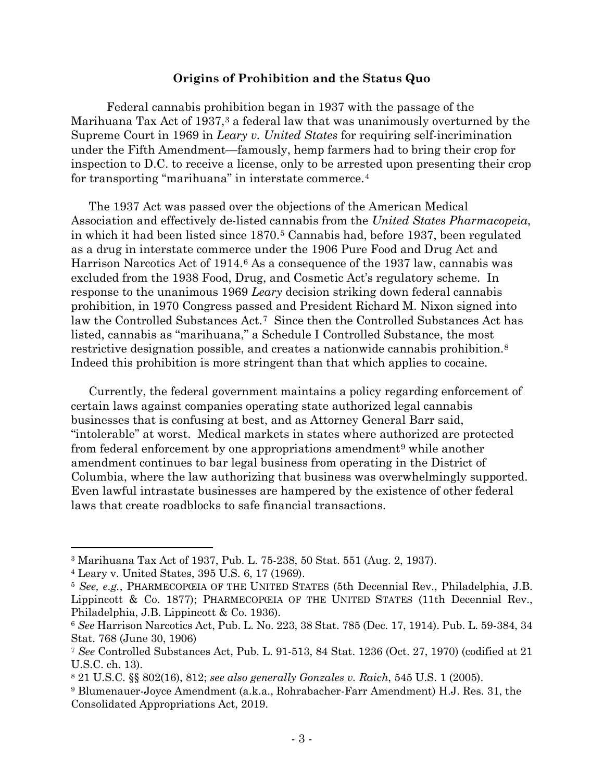#### **Origins of Prohibition and the Status Quo**

Federal cannabis prohibition began in 1937 with the passage of the Marihuana Tax Act of 19[3](#page-2-0)7,<sup>3</sup> a federal law that was unanimously overturned by the Supreme Court in 1969 in *Leary v. United States* for requiring self-incrimination under the Fifth Amendment—famously, hemp farmers had to bring their crop for inspection to D.C. to receive a license, only to be arrested upon presenting their crop for transporting "marihuana" in interstate commerce.[4](#page-2-1)

The 1937 Act was passed over the objections of the American Medical Association and effectively de-listed cannabis from the *United States Pharmacopeia*, in which it had been listed since 1870.[5](#page-2-2) Cannabis had, before 1937, been regulated as a drug in interstate commerce under the 1906 Pure Food and Drug Act and Harrison Narcotics Act of 1914.<sup>[6](#page-2-3)</sup> As a consequence of the 1937 law, cannabis was excluded from the 1938 Food, Drug, and Cosmetic Act's regulatory scheme. In response to the unanimous 1969 *Leary* decision striking down federal cannabis prohibition, in 1970 Congress passed and President Richard M. Nixon signed into law the Controlled Substances Act.[7](#page-2-4) Since then the Controlled Substances Act has listed, cannabis as "marihuana," a Schedule I Controlled Substance, the most restrictive designation possible, and creates a nationwide cannabis prohibition.[8](#page-2-5) Indeed this prohibition is more stringent than that which applies to cocaine.

Currently, the federal government maintains a policy regarding enforcement of certain laws against companies operating state authorized legal cannabis businesses that is confusing at best, and as Attorney General Barr said, "intolerable" at worst. Medical markets in states where authorized are protected from federal enforcement by one appropriations amendment<sup>[9](#page-2-6)</sup> while another amendment continues to bar legal business from operating in the District of Columbia, where the law authorizing that business was overwhelmingly supported. Even lawful intrastate businesses are hampered by the existence of other federal laws that create roadblocks to safe financial transactions.

<span id="page-2-0"></span><sup>3</sup> Marihuana Tax Act of 1937, Pub. L. 75-238, 50 Stat. 551 (Aug. 2, 1937).

<span id="page-2-1"></span><sup>4</sup> Leary v. United States, 395 U.S. 6, 17 (1969).

<span id="page-2-2"></span><sup>5</sup> *See, e.g.*, PHARMECOPŒIA OF THE UNITED STATES (5th Decennial Rev., Philadelphia, J.B. Lippincott & Co. 1877); PHARMECOPŒIA OF THE UNITED STATES (11th Decennial Rev., Philadelphia, J.B. Lippincott & Co. 1936).

<span id="page-2-3"></span><sup>6</sup> *See* Harrison Narcotics Act, Pub. L. No. 223, 38 Stat. 785 (Dec. 17, 1914). Pub. L. 59-384, 34 Stat. 768 (June 30, 1906)

<span id="page-2-4"></span><sup>7</sup> *See* Controlled Substances Act, Pub. L. 91-513, 84 Stat. 1236 (Oct. 27, 1970) (codified at 21 U.S.C. ch. 13).

<span id="page-2-5"></span><sup>8</sup> 21 U.S.C. §§ 802(16), 812; *see also generally Gonzales v. Raich*, 545 U.S. 1 (2005).

<span id="page-2-6"></span><sup>9</sup> Blumenauer-Joyce Amendment (a.k.a., Rohrabacher-Farr Amendment) H.J. Res. 31, the Consolidated Appropriations Act, 2019.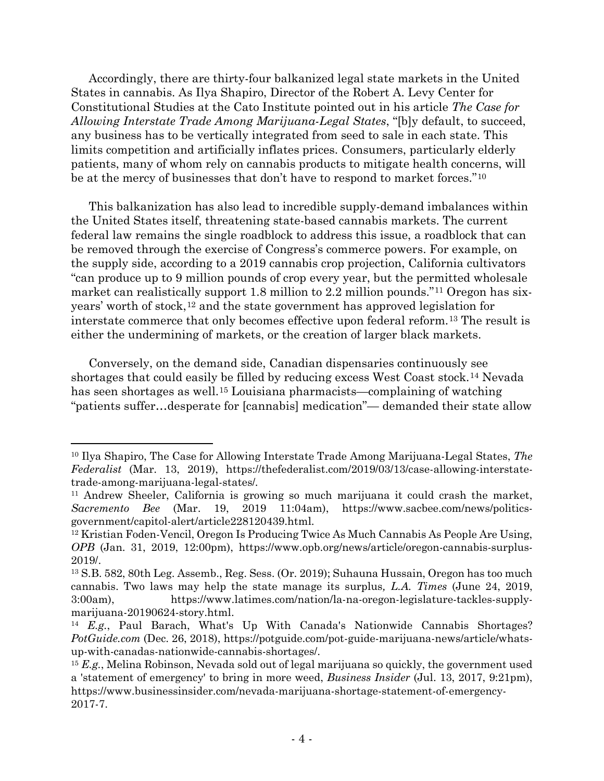Accordingly, there are thirty-four balkanized legal state markets in the United States in cannabis. As Ilya Shapiro, Director of the Robert A. Levy Center for Constitutional Studies at the Cato Institute pointed out in his article *The Case for Allowing Interstate Trade Among Marijuana-Legal States*, "[b]y default, to succeed, any business has to be vertically integrated from seed to sale in each state. This limits competition and artificially inflates prices. Consumers, particularly elderly patients, many of whom rely on cannabis products to mitigate health concerns, will be at the mercy of businesses that don't have to respond to market forces."[10](#page-3-0)

This balkanization has also lead to incredible supply-demand imbalances within the United States itself, threatening state-based cannabis markets. The current federal law remains the single roadblock to address this issue, a roadblock that can be removed through the exercise of Congress's commerce powers. For example, on the supply side, according to a 2019 cannabis crop projection, California cultivators "can produce up to 9 million pounds of crop every year, but the permitted wholesale market can realistically support 1.8 million to 2.2 million pounds."<sup>[11](#page-3-1)</sup> Oregon has sixyears' worth of stock,  $12$  and the state government has approved legislation for interstate commerce that only becomes effective upon federal reform.[13](#page-3-3) The result is either the undermining of markets, or the creation of larger black markets.

Conversely, on the demand side, Canadian dispensaries continuously see shortages that could easily be filled by reducing excess West Coast stock.[14](#page-3-4) Nevada has seen shortages as well.[15](#page-3-5) Louisiana pharmacists—complaining of watching "patients suffer…desperate for [cannabis] medication"— demanded their state allow

<span id="page-3-0"></span><sup>10</sup> Ilya Shapiro, The Case for Allowing Interstate Trade Among Marijuana-Legal States, *The Federalist* (Mar. 13, 2019), https://thefederalist.com/2019/03/13/case-allowing-interstatetrade-among-marijuana-legal-states/*.*

<span id="page-3-1"></span><sup>&</sup>lt;sup>11</sup> Andrew Sheeler, California is growing so much marijuana it could crash the market, *Sacremento Bee* (Mar. 19, 2019 11:04am), https://www.sacbee.com/news/politicsgovernment/capitol-alert/article228120439.html.

<span id="page-3-2"></span><sup>&</sup>lt;sup>12</sup> Kristian Foden-Vencil, Oregon Is Producing Twice As Much Cannabis As People Are Using, *OPB* (Jan. 31, 2019, 12:00pm), https://www.opb.org/news/article/oregon-cannabis-surplus-2019/.

<span id="page-3-3"></span><sup>13</sup> S.B. 582, 80th Leg. Assemb., Reg. Sess. (Or. 2019); Suhauna Hussain, Oregon has too much cannabis. Two laws may help the state manage its surplus*, L.A. Times* (June 24, 2019, 3:00am), https://www.latimes.com/nation/la-na-oregon-legislature-tackles-supplymarijuana-20190624-story.html.

<span id="page-3-4"></span><sup>14</sup> *E.g.*, Paul Barach, What's Up With Canada's Nationwide Cannabis Shortages? *PotGuide.com* (Dec. 26, 2018), https://potguide.com/pot-guide-marijuana-news/article/whatsup-with-canadas-nationwide-cannabis-shortages/.

<span id="page-3-5"></span><sup>15</sup> *E.g.*, Melina Robinson, Nevada sold out of legal marijuana so quickly, the government used a 'statement of emergency' to bring in more weed, *Business Insider* (Jul. 13, 2017, 9:21pm), https://www.businessinsider.com/nevada-marijuana-shortage-statement-of-emergency-2017-7.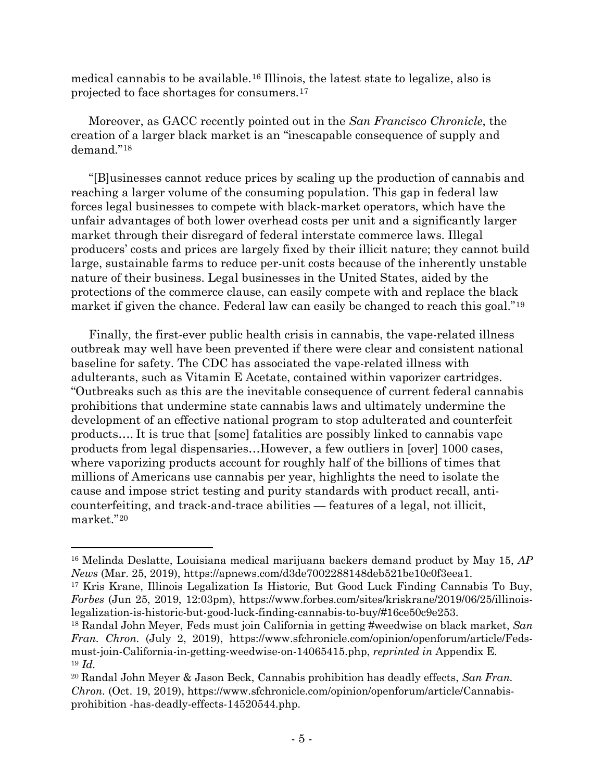medical cannabis to be available.[16](#page-4-0) Illinois, the latest state to legalize, also is projected to face shortages for consumers.[17](#page-4-1)

Moreover, as GACC recently pointed out in the *San Francisco Chronicle*, the creation of a larger black market is an "inescapable consequence of supply and demand."[18](#page-4-2)

"[B]usinesses cannot reduce prices by scaling up the production of cannabis and reaching a larger volume of the consuming population. This gap in federal law forces legal businesses to compete with black-market operators, which have the unfair advantages of both lower overhead costs per unit and a significantly larger market through their disregard of federal interstate commerce laws. Illegal producers' costs and prices are largely fixed by their illicit nature; they cannot build large, sustainable farms to reduce per-unit costs because of the inherently unstable nature of their business. Legal businesses in the United States, aided by the protections of the commerce clause, can easily compete with and replace the black market if given the chance. Federal law can easily be changed to reach this goal."[19](#page-4-3)

Finally, the first-ever public health crisis in cannabis, the vape-related illness outbreak may well have been prevented if there were clear and consistent national baseline for safety. The CDC has associated the vape-related illness with adulterants, such as Vitamin E Acetate, contained within vaporizer cartridges. "Outbreaks such as this are the inevitable consequence of current federal cannabis prohibitions that undermine state cannabis laws and ultimately undermine the development of an effective national program to stop adulterated and counterfeit products…. It is true that [some] fatalities are possibly linked to cannabis vape products from legal dispensaries…However, a few outliers in [over] 1000 cases, where vaporizing products account for roughly half of the billions of times that millions of Americans use cannabis per year, highlights the need to isolate the cause and impose strict testing and purity standards with product recall, anticounterfeiting, and track-and-trace abilities — features of a legal, not illicit, market."[20](#page-4-4)

<span id="page-4-0"></span><sup>16</sup> Melinda Deslatte, Louisiana medical marijuana backers demand product by May 15, *AP News* (Mar. 25, 2019), https://apnews.com/d3de7002288148deb521be10c0f3eea1.

<span id="page-4-1"></span><sup>17</sup> Kris Krane, Illinois Legalization Is Historic, But Good Luck Finding Cannabis To Buy, *Forbes* (Jun 25, 2019, 12:03pm), https://www.forbes.com/sites/kriskrane/2019/06/25/illinoislegalization-is-historic-but-good-luck-finding-cannabis-to-buy/#16ce50c9e253.

<span id="page-4-2"></span><sup>18</sup> Randal John Meyer, Feds must join California in getting #weedwise on black market, *San Fran. Chron.* (July 2, 2019), https://www.sfchronicle.com/opinion/openforum/article/Fedsmust-join-California-in-getting-weedwise-on-14065415.php, *reprinted in* Appendix E. <sup>19</sup> *Id.*

<span id="page-4-4"></span><span id="page-4-3"></span><sup>20</sup> Randal John Meyer & Jason Beck, Cannabis prohibition has deadly effects, *San Fran. Chron.* (Oct. 19, 2019), https://www.sfchronicle.com/opinion/openforum/article/Cannabisprohibition -has-deadly-effects-14520544.php.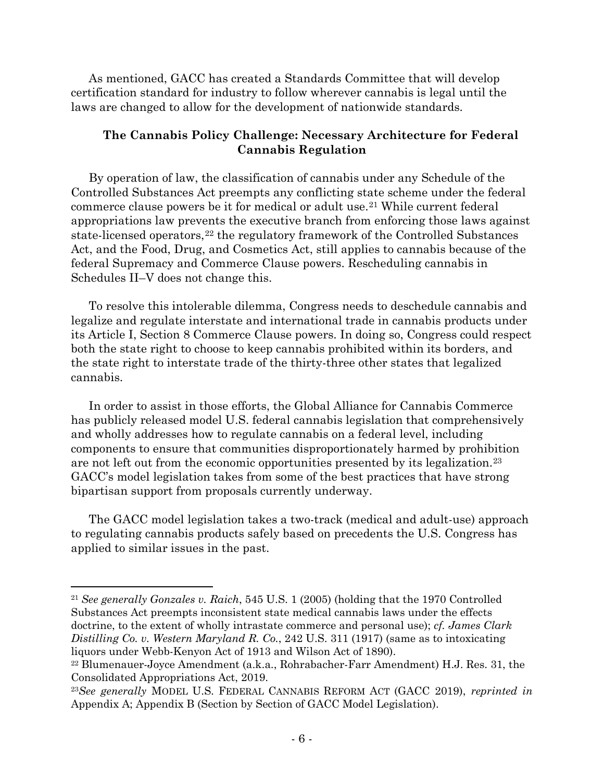As mentioned, GACC has created a Standards Committee that will develop certification standard for industry to follow wherever cannabis is legal until the laws are changed to allow for the development of nationwide standards.

### **The Cannabis Policy Challenge: Necessary Architecture for Federal Cannabis Regulation**

By operation of law, the classification of cannabis under any Schedule of the Controlled Substances Act preempts any conflicting state scheme under the federal commerce clause powers be it for medical or adult use.[21](#page-5-0) While current federal appropriations law prevents the executive branch from enforcing those laws against state-licensed operators,<sup>[22](#page-5-1)</sup> the regulatory framework of the Controlled Substances Act, and the Food, Drug, and Cosmetics Act, still applies to cannabis because of the federal Supremacy and Commerce Clause powers. Rescheduling cannabis in Schedules II–V does not change this.

To resolve this intolerable dilemma, Congress needs to deschedule cannabis and legalize and regulate interstate and international trade in cannabis products under its Article I, Section 8 Commerce Clause powers. In doing so, Congress could respect both the state right to choose to keep cannabis prohibited within its borders, and the state right to interstate trade of the thirty-three other states that legalized cannabis.

In order to assist in those efforts, the Global Alliance for Cannabis Commerce has publicly released model U.S. federal cannabis legislation that comprehensively and wholly addresses how to regulate cannabis on a federal level, including components to ensure that communities disproportionately harmed by prohibition are not left out from the economic opportunities presented by its legalization.[23](#page-5-2) GACC's model legislation takes from some of the best practices that have strong bipartisan support from proposals currently underway.

The GACC model legislation takes a two-track (medical and adult-use) approach to regulating cannabis products safely based on precedents the U.S. Congress has applied to similar issues in the past.

<span id="page-5-0"></span><sup>21</sup> *See generally Gonzales v. Raich*, 545 U.S. 1 (2005) (holding that the 1970 Controlled Substances Act preempts inconsistent state medical cannabis laws under the effects doctrine, to the extent of wholly intrastate commerce and personal use); *cf. James Clark Distilling Co. v. Western Maryland R. Co.*, 242 U.S. 311 (1917) (same as to intoxicating liquors under Webb-Kenyon Act of 1913 and Wilson Act of 1890).

<span id="page-5-1"></span><sup>22</sup> Blumenauer-Joyce Amendment (a.k.a., Rohrabacher-Farr Amendment) H.J. Res. 31, the Consolidated Appropriations Act, 2019.

<span id="page-5-2"></span><sup>23</sup>*See generally* MODEL U.S. FEDERAL CANNABIS REFORM ACT (GACC 2019), *reprinted in*  Appendix A; Appendix B (Section by Section of GACC Model Legislation).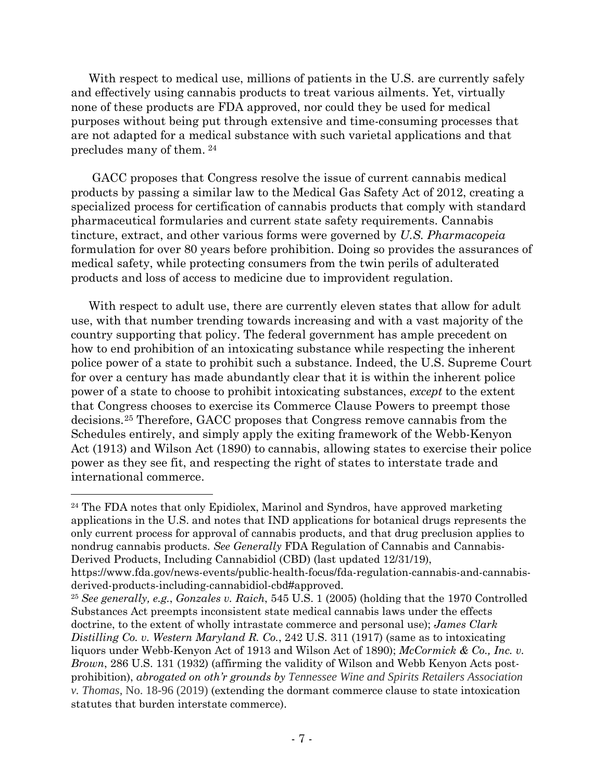With respect to medical use, millions of patients in the U.S. are currently safely and effectively using cannabis products to treat various ailments. Yet, virtually none of these products are FDA approved, nor could they be used for medical purposes without being put through extensive and time-consuming processes that are not adapted for a medical substance with such varietal applications and that precludes many of them. [24](#page-6-0)

GACC proposes that Congress resolve the issue of current cannabis medical products by passing a similar law to the Medical Gas Safety Act of 2012, creating a specialized process for certification of cannabis products that comply with standard pharmaceutical formularies and current state safety requirements. Cannabis tincture, extract, and other various forms were governed by *U.S. Pharmacopeia* formulation for over 80 years before prohibition. Doing so provides the assurances of medical safety, while protecting consumers from the twin perils of adulterated products and loss of access to medicine due to improvident regulation.

With respect to adult use, there are currently eleven states that allow for adult use, with that number trending towards increasing and with a vast majority of the country supporting that policy. The federal government has ample precedent on how to end prohibition of an intoxicating substance while respecting the inherent police power of a state to prohibit such a substance. Indeed, the U.S. Supreme Court for over a century has made abundantly clear that it is within the inherent police power of a state to choose to prohibit intoxicating substances, *except* to the extent that Congress chooses to exercise its Commerce Clause Powers to preempt those decisions.[25](#page-6-1) Therefore, GACC proposes that Congress remove cannabis from the Schedules entirely, and simply apply the exiting framework of the Webb-Kenyon Act (1913) and Wilson Act (1890) to cannabis, allowing states to exercise their police power as they see fit, and respecting the right of states to interstate trade and international commerce.

 $\overline{a}$ 

<span id="page-6-1"></span><sup>25</sup> *See generally, e.g.*, *Gonzales v. Raich*, 545 U.S. 1 (2005) (holding that the 1970 Controlled Substances Act preempts inconsistent state medical cannabis laws under the effects doctrine, to the extent of wholly intrastate commerce and personal use); *James Clark Distilling Co. v. Western Maryland R. Co.*, 242 U.S. 311 (1917) (same as to intoxicating liquors under Webb-Kenyon Act of 1913 and Wilson Act of 1890); *McCormick & Co., Inc. v. Brown*, 286 U.S. 131 (1932) (affirming the validity of Wilson and Webb Kenyon Acts postprohibition), *abrogated on oth'r grounds by Tennessee Wine and Spirits Retailers Association v. Thomas*, No. 18-96 (2019) (extending the dormant commerce clause to state intoxication statutes that burden interstate commerce).

<span id="page-6-0"></span><sup>&</sup>lt;sup>24</sup> The FDA notes that only Epidiolex, Marinol and Syndros, have approved marketing applications in the U.S. and notes that IND applications for botanical drugs represents the only current process for approval of cannabis products, and that drug preclusion applies to nondrug cannabis products. *See Generally* FDA Regulation of Cannabis and Cannabis-Derived Products, Including Cannabidiol (CBD) (last updated 12/31/19),

https://www.fda.gov/news-events/public-health-focus/fda-regulation-cannabis-and-cannabisderived-products-including-cannabidiol-cbd#approved.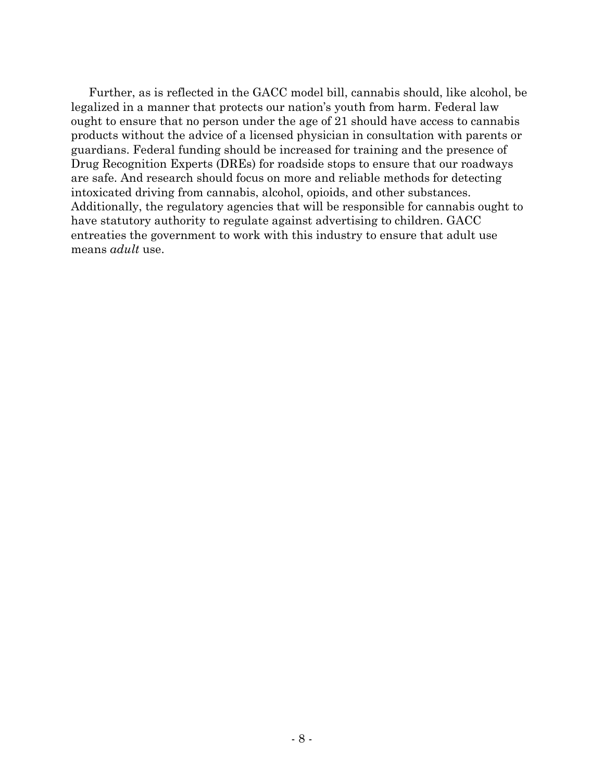Further, as is reflected in the GACC model bill, cannabis should, like alcohol, be legalized in a manner that protects our nation's youth from harm. Federal law ought to ensure that no person under the age of 21 should have access to cannabis products without the advice of a licensed physician in consultation with parents or guardians. Federal funding should be increased for training and the presence of Drug Recognition Experts (DREs) for roadside stops to ensure that our roadways are safe. And research should focus on more and reliable methods for detecting intoxicated driving from cannabis, alcohol, opioids, and other substances. Additionally, the regulatory agencies that will be responsible for cannabis ought to have statutory authority to regulate against advertising to children. GACC entreaties the government to work with this industry to ensure that adult use means *adult* use.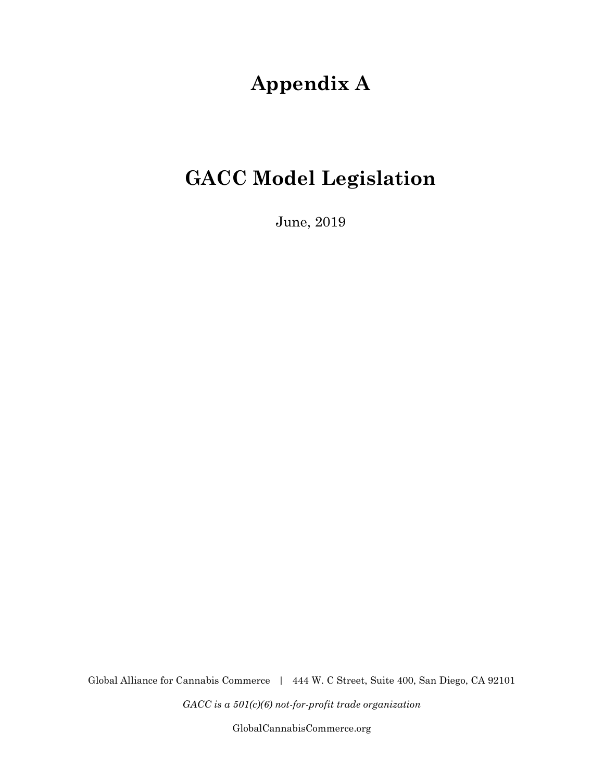# **Appendix A**

# **GACC Model Legislation**

June, 2019

Global Alliance for Cannabis Commerce | 444 W. C Street, Suite 400, San Diego, CA 92101

*GACC is a 501(c)(6) not-for-profit trade organization*

[GlobalCannabisCommerce.org](http://globalcannabiscommerce.org/)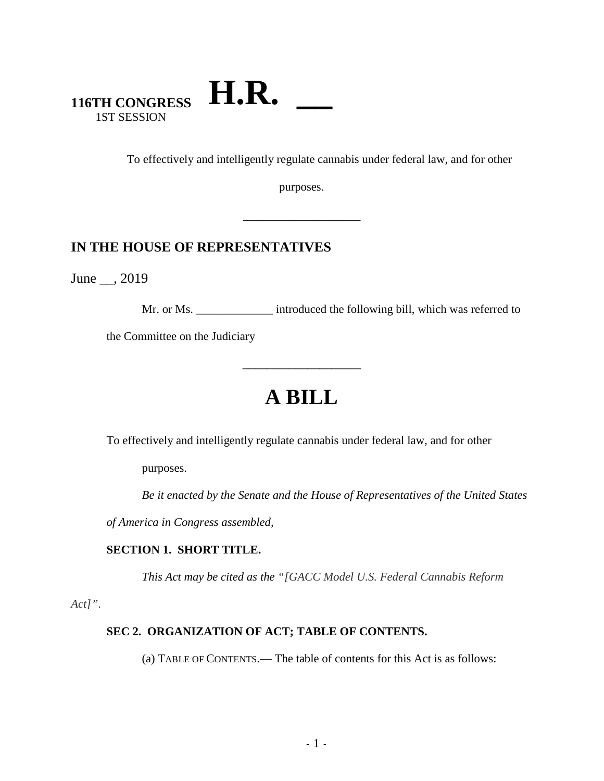### **116TH CONGRESS** 1ST SESSION **H.R. \_\_**

To effectively and intelligently regulate cannabis under federal law, and for other

purposes.

\_\_\_\_\_\_\_\_\_\_\_\_\_\_\_\_\_

### **IN THE HOUSE OF REPRESENTATIVES**

June \_\_, 2019

Mr. or Ms. \_\_\_\_\_\_\_\_\_\_\_\_\_\_ introduced the following bill, which was referred to

the Committee on the Judiciary

# **A BILL**

**\_\_\_\_\_\_\_\_\_\_\_\_\_\_\_\_\_\_\_\_**

To effectively and intelligently regulate cannabis under federal law, and for other

purposes.

*Be it enacted by the Senate and the House of Representatives of the United States* 

*of America in Congress assembled,* 

#### **SECTION 1. SHORT TITLE.**

*This Act may be cited as the "[GACC Model U.S. Federal Cannabis Reform* 

*Act]"*.

#### **SEC 2. ORGANIZATION OF ACT; TABLE OF CONTENTS.**

(a) TABLE OF CONTENTS.— The table of contents for this Act is as follows: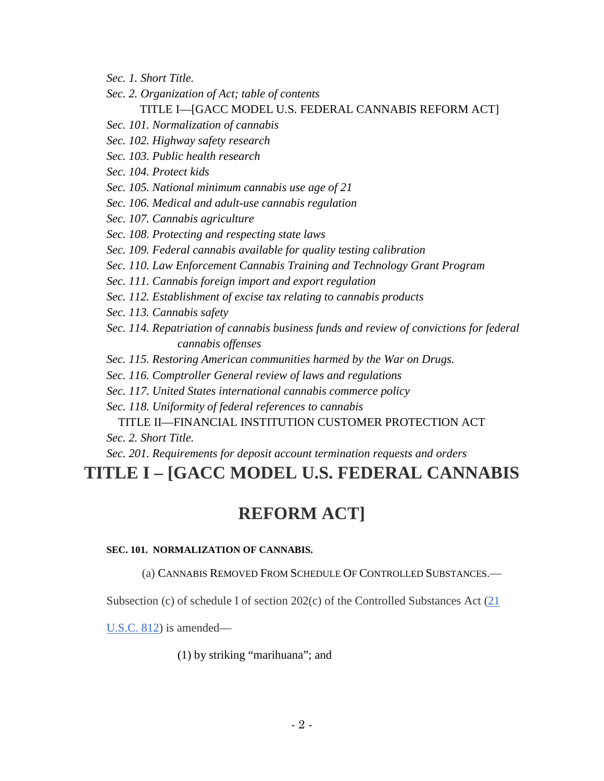- *Sec. 1. Short Title.*
- *Sec. 2. Organization of Act; table of contents*

#### TITLE I—[GACC MODEL U.S. FEDERAL CANNABIS REFORM ACT]

- *Sec. 101. Normalization of cannabis*
- *Sec. 102. Highway safety research*
- *Sec. 103. Public health research*

*Sec. 104. Protect kids*

- *Sec. 105. National minimum cannabis use age of 21*
- *Sec. 106. Medical and adult-use cannabis regulation*
- *Sec. 107. Cannabis agriculture*
- *Sec. 108. Protecting and respecting state laws*
- *Sec. 109. Federal cannabis available for quality testing calibration*
- *Sec. 110. Law Enforcement Cannabis Training and Technology Grant Program*
- *Sec. 111. Cannabis foreign import and export regulation*
- *Sec. 112. Establishment of excise tax relating to cannabis products*

*Sec. 113. Cannabis safety*

- *Sec. 114. Repatriation of cannabis business funds and review of convictions for federal cannabis offenses*
- *Sec. 115. Restoring American communities harmed by the War on Drugs.*
- *Sec. 116. Comptroller General review of laws and regulations*
- *Sec. 117. United States international cannabis commerce policy*
- *Sec. 118. Uniformity of federal references to cannabis*

#### TITLE II—FINANCIAL INSTITUTION CUSTOMER PROTECTION ACT *Sec. 2. Short Title.*

*Sec. 201. Requirements for deposit account termination requests and orders*

## **TITLE I – [GACC MODEL U.S. FEDERAL CANNABIS**

## **REFORM ACT]**

#### **SEC. 101. NORMALIZATION OF CANNABIS.**

(a) CANNABIS REMOVED FROM SCHEDULE OF CONTROLLED SUBSTANCES.—

Subsection (c) of schedule I of section  $202(c)$  of the Controlled Substances Act  $(21)$ 

U.S.C. 812) is amended—

(1) by striking "marihuana"; and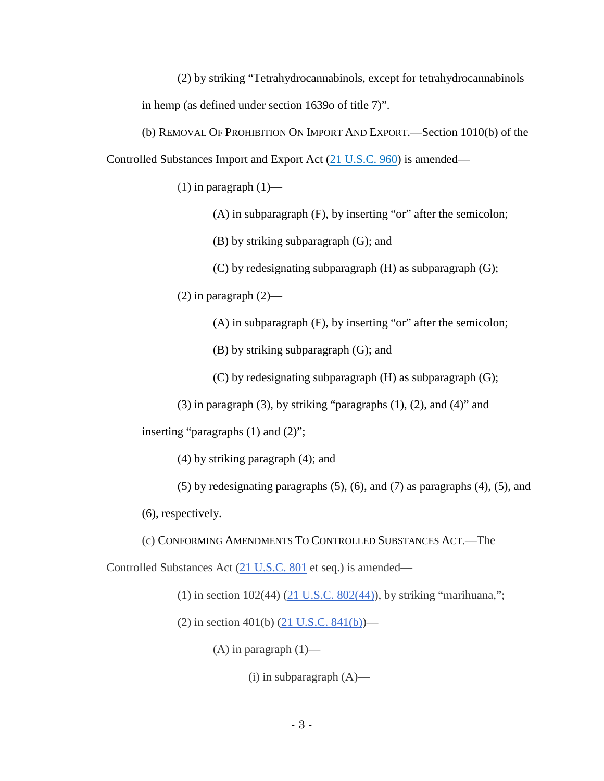(2) by striking "Tetrahydrocannabinols, except for tetrahydrocannabinols in hemp (as defined under section 1639o of title 7)".

(b) REMOVAL OF PROHIBITION ON IMPORT AND EXPORT.—Section 1010(b) of the Controlled Substances Import and Export Act (21 U.S.C. 960) is amended—

 $(1)$  in paragraph  $(1)$ —

(A) in subparagraph (F), by inserting "or" after the semicolon;

(B) by striking subparagraph (G); and

(C) by redesignating subparagraph (H) as subparagraph (G);

 $(2)$  in paragraph  $(2)$ —

(A) in subparagraph (F), by inserting "or" after the semicolon;

(B) by striking subparagraph (G); and

(C) by redesignating subparagraph (H) as subparagraph (G);

(3) in paragraph (3), by striking "paragraphs  $(1)$ ,  $(2)$ , and  $(4)$ " and

inserting "paragraphs (1) and (2)";

(4) by striking paragraph (4); and

(5) by redesignating paragraphs (5), (6), and (7) as paragraphs (4), (5), and (6), respectively.

(c) CONFORMING AMENDMENTS TO CONTROLLED SUBSTANCES ACT.—The

Controlled Substances Act (21 U.S.C. 801 et seq.) is amended—

(1) in section  $102(44)$  ( $21$  U.S.C.  $802(44)$ ), by striking "marihuana,";

(2) in section 401(b)  $(21 \text{ U.S.C. } 841(b))$ —

 $(A)$  in paragraph  $(1)$ —

 $(i)$  in subparagraph  $(A)$ —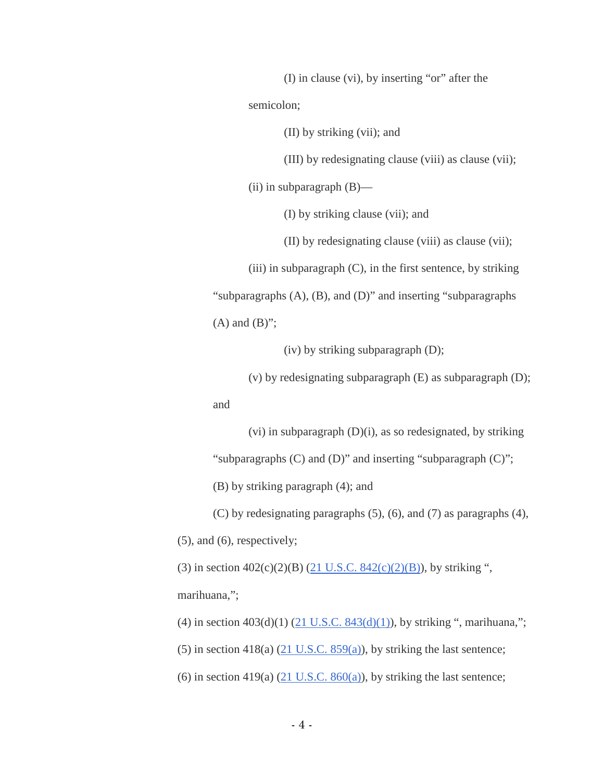(I) in clause (vi), by inserting "or" after the semicolon;

(II) by striking (vii); and

(III) by redesignating clause (viii) as clause (vii);

(ii) in subparagraph (B)—

(I) by striking clause (vii); and

(II) by redesignating clause (viii) as clause (vii);

 $(iii)$  in subparagraph  $(C)$ , in the first sentence, by striking

"subparagraphs (A), (B), and (D)" and inserting "subparagraphs

 $(A)$  and  $(B)$ ";

(iv) by striking subparagraph (D);

(v) by redesignating subparagraph (E) as subparagraph (D);

and

(vi) in subparagraph (D)(i), as so redesignated, by striking

"subparagraphs (C) and (D)" and inserting "subparagraph (C)";

(B) by striking paragraph (4); and

(C) by redesignating paragraphs (5), (6), and (7) as paragraphs (4),

(5), and (6), respectively;

(3) in section  $402(c)(2)(B)$  (21 U.S.C.  $842(c)(2)(B)$ ), by striking ", marihuana,";

(4) in section  $403(d)(1)$  (21 U.S.C.  $843(d)(1)$ ), by striking ", marihuana,";

(5) in section 418(a) (21 U.S.C. 859(a)), by striking the last sentence;

(6) in section 419(a) (21 U.S.C. 860(a)), by striking the last sentence;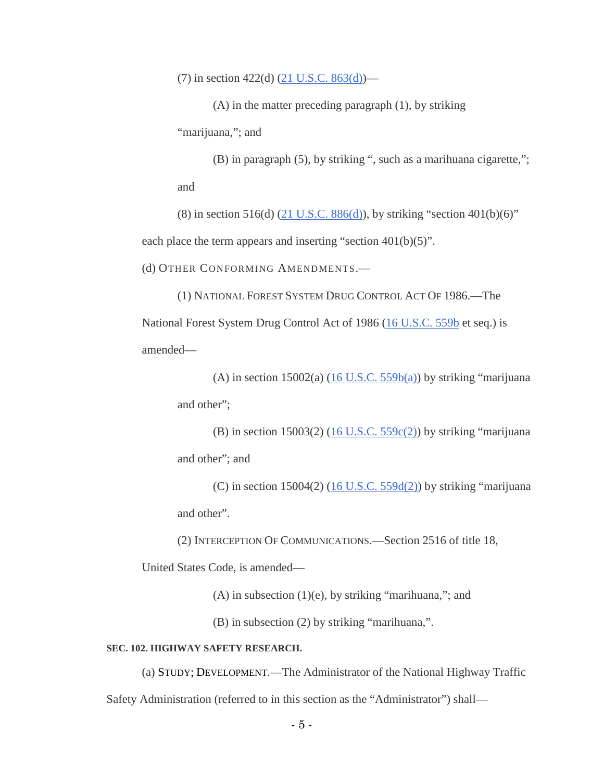(7) in section 422(d) (21 U.S.C. 863(d))—

(A) in the matter preceding paragraph (1), by striking

"marijuana,"; and

(B) in paragraph (5), by striking ", such as a marihuana cigarette,"; and

(8) in section 516(d)  $(21 \text{ U.S.C. } 886\text{ (d)}),$  by striking "section 401(b)(6)" each place the term appears and inserting "section 401(b)(5)".

(d) OTHER CONFORMING AMENDMENTS.—

(1) NATIONAL FOREST SYSTEM DRUG CONTROL ACT OF 1986.—The National Forest System Drug Control Act of 1986 (16 U.S.C. 559b et seq.) is amended—

(A) in section  $15002(a)$  (16 U.S.C. 559b(a)) by striking "marijuana and other";

(B) in section  $15003(2)$  (16 U.S.C.  $559c(2)$ ) by striking "marijuana and other"; and

(C) in section  $15004(2)$  (16 U.S.C.  $559d(2)$ ) by striking "marijuana and other".

(2) INTERCEPTION OF COMMUNICATIONS.—Section 2516 of title 18,

United States Code, is amended—

(A) in subsection (1)(e), by striking "marihuana,"; and

(B) in subsection (2) by striking "marihuana,".

#### **SEC. 102. HIGHWAY SAFETY RESEARCH.**

(a) STUDY; DEVELOPMENT.—The Administrator of the National Highway Traffic

Safety Administration (referred to in this section as the "Administrator") shall—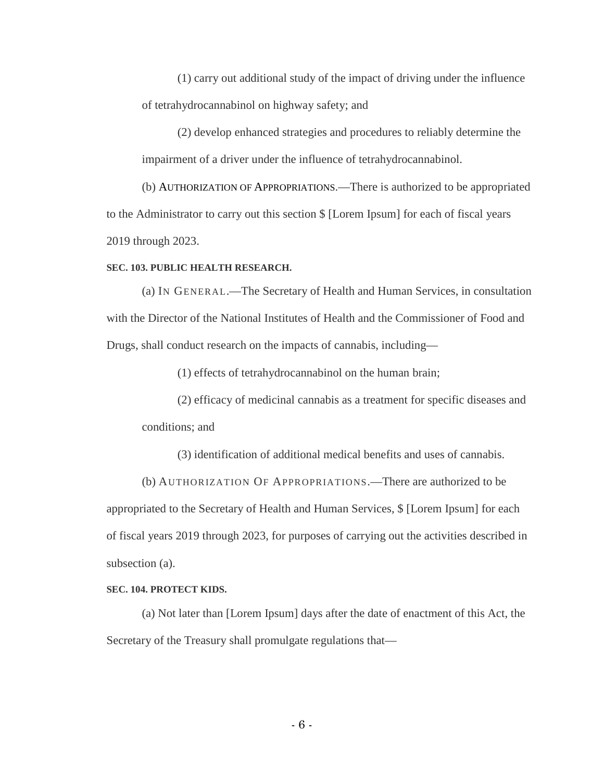(1) carry out additional study of the impact of driving under the influence of tetrahydrocannabinol on highway safety; and

(2) develop enhanced strategies and procedures to reliably determine the impairment of a driver under the influence of tetrahydrocannabinol.

(b) AUTHORIZATION OF APPROPRIATIONS.—There is authorized to be appropriated to the Administrator to carry out this section \$ [Lorem Ipsum] for each of fiscal years 2019 through 2023.

#### **SEC. 103. PUBLIC HEALTH RESEARCH.**

(a) IN GENERAL.—The Secretary of Health and Human Services, in consultation with the Director of the National Institutes of Health and the Commissioner of Food and Drugs, shall conduct research on the impacts of cannabis, including—

(1) effects of tetrahydrocannabinol on the human brain;

(2) efficacy of medicinal cannabis as a treatment for specific diseases and conditions; and

(3) identification of additional medical benefits and uses of cannabis.

(b) AUTHORIZATION OF APPROPRIATIONS.—There are authorized to be

appropriated to the Secretary of Health and Human Services, \$ [Lorem Ipsum] for each of fiscal years 2019 through 2023, for purposes of carrying out the activities described in subsection (a).

#### **SEC. 104. PROTECT KIDS.**

(a) Not later than [Lorem Ipsum] days after the date of enactment of this Act, the Secretary of the Treasury shall promulgate regulations that—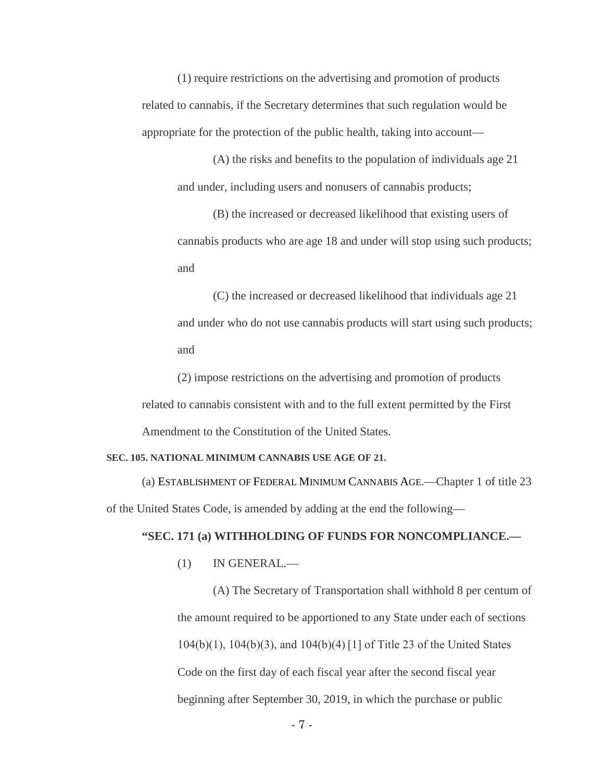(1) require restrictions on the advertising and promotion of products related to cannabis, if the Secretary determines that such regulation would be appropriate for the protection of the public health, taking into account—

(A) the risks and benefits to the population of individuals age 21 and under, including users and nonusers of cannabis products;

(B) the increased or decreased likelihood that existing users of cannabis products who are age 18 and under will stop using such products; and

(C) the increased or decreased likelihood that individuals age 21 and under who do not use cannabis products will start using such products; and

(2) impose restrictions on the advertising and promotion of products related to cannabis consistent with and to the full extent permitted by the First Amendment to the Constitution of the United States.

#### **SEC. 105. NATIONAL MINIMUM CANNABIS USE AGE OF 21.**

(a) ESTABLISHMENT OF FEDERAL MINIMUM CANNABIS AGE.—Chapter 1 of title 23 of the United States Code, is amended by adding at the end the following—

#### **"SEC. 171 (a) WITHHOLDING OF FUNDS FOR NONCOMPLIANCE.—**

(1) IN GENERAL.—

(A) The Secretary of Transportation shall withhold 8 per centum of the amount required to be apportioned to any State under each of sections 104(b)(1), 104(b)(3), and 104(b)(4) [1] of Title 23 of the United States Code on the first day of each fiscal year after the second fiscal year beginning after September 30, 2019, in which the purchase or public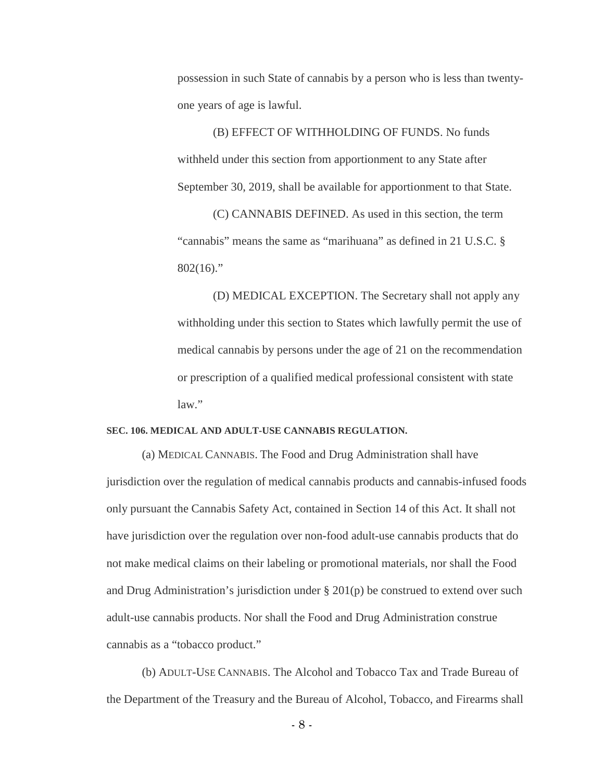possession in such State of cannabis by a person who is less than twentyone years of age is lawful.

(B) EFFECT OF WITHHOLDING OF FUNDS. No funds withheld under this section from apportionment to any State after September 30, 2019, shall be available for apportionment to that State.

(C) CANNABIS DEFINED. As used in this section, the term "cannabis" means the same as "marihuana" as defined in 21 U.S.C. §  $802(16)$ ."

(D) MEDICAL EXCEPTION. The Secretary shall not apply any withholding under this section to States which lawfully permit the use of medical cannabis by persons under the age of 21 on the recommendation or prescription of a qualified medical professional consistent with state  $law$ "

#### **SEC. 106. MEDICAL AND ADULT-USE CANNABIS REGULATION.**

(a) MEDICAL CANNABIS. The Food and Drug Administration shall have jurisdiction over the regulation of medical cannabis products and cannabis-infused foods only pursuant the Cannabis Safety Act, contained in Section 14 of this Act. It shall not have jurisdiction over the regulation over non-food adult-use cannabis products that do not make medical claims on their labeling or promotional materials, nor shall the Food and Drug Administration's jurisdiction under  $\S 201(p)$  be construed to extend over such adult-use cannabis products. Nor shall the Food and Drug Administration construe cannabis as a "tobacco product."

(b) ADULT-USE CANNABIS. The Alcohol and Tobacco Tax and Trade Bureau of the Department of the Treasury and the Bureau of Alcohol, Tobacco, and Firearms shall

- 8 -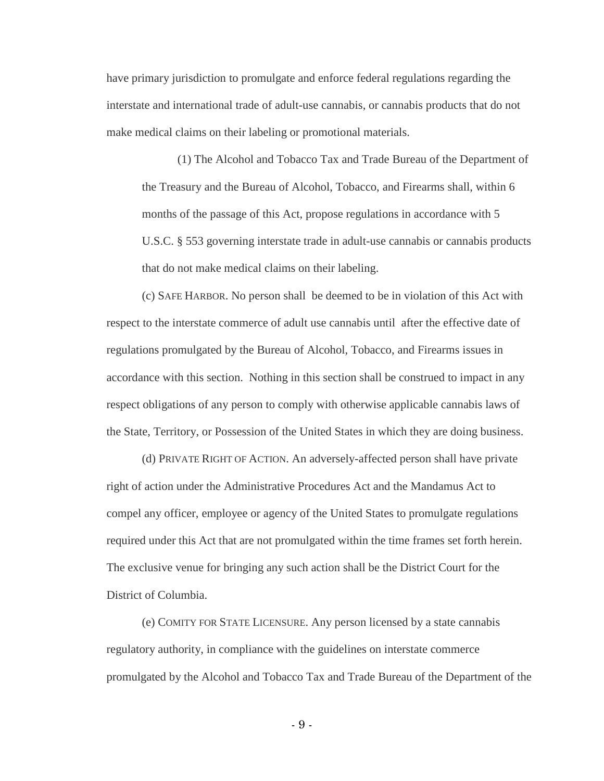have primary jurisdiction to promulgate and enforce federal regulations regarding the interstate and international trade of adult-use cannabis, or cannabis products that do not make medical claims on their labeling or promotional materials.

(1) The Alcohol and Tobacco Tax and Trade Bureau of the Department of the Treasury and the Bureau of Alcohol, Tobacco, and Firearms shall, within 6 months of the passage of this Act, propose regulations in accordance with 5 U.S.C. § 553 governing interstate trade in adult-use cannabis or cannabis products that do not make medical claims on their labeling.

(c) SAFE HARBOR. No person shall be deemed to be in violation of this Act with respect to the interstate commerce of adult use cannabis until after the effective date of regulations promulgated by the Bureau of Alcohol, Tobacco, and Firearms issues in accordance with this section. Nothing in this section shall be construed to impact in any respect obligations of any person to comply with otherwise applicable cannabis laws of the State, Territory, or Possession of the United States in which they are doing business.

(d) PRIVATE RIGHT OF ACTION. An adversely-affected person shall have private right of action under the Administrative Procedures Act and the Mandamus Act to compel any officer, employee or agency of the United States to promulgate regulations required under this Act that are not promulgated within the time frames set forth herein. The exclusive venue for bringing any such action shall be the District Court for the District of Columbia.

(e) COMITY FOR STATE LICENSURE. Any person licensed by a state cannabis regulatory authority, in compliance with the guidelines on interstate commerce promulgated by the Alcohol and Tobacco Tax and Trade Bureau of the Department of the

- 9 -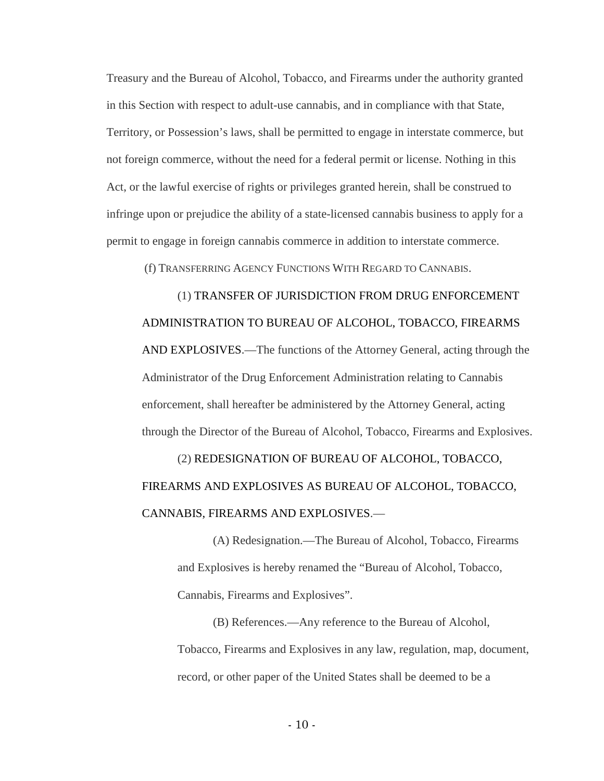Treasury and the Bureau of Alcohol, Tobacco, and Firearms under the authority granted in this Section with respect to adult-use cannabis, and in compliance with that State, Territory, or Possession's laws, shall be permitted to engage in interstate commerce, but not foreign commerce, without the need for a federal permit or license. Nothing in this Act, or the lawful exercise of rights or privileges granted herein, shall be construed to infringe upon or prejudice the ability of a state-licensed cannabis business to apply for a permit to engage in foreign cannabis commerce in addition to interstate commerce.

(f) TRANSFERRING AGENCY FUNCTIONS WITH REGARD TO CANNABIS.

(1) TRANSFER OF JURISDICTION FROM DRUG ENFORCEMENT ADMINISTRATION TO BUREAU OF ALCOHOL, TOBACCO, FIREARMS AND EXPLOSIVES.—The functions of the Attorney General, acting through the Administrator of the Drug Enforcement Administration relating to Cannabis enforcement, shall hereafter be administered by the Attorney General, acting through the Director of the Bureau of Alcohol, Tobacco, Firearms and Explosives.

(2) REDESIGNATION OF BUREAU OF ALCOHOL, TOBACCO, FIREARMS AND EXPLOSIVES AS BUREAU OF ALCOHOL, TOBACCO, CANNABIS, FIREARMS AND EXPLOSIVES.—

(A) Redesignation.—The Bureau of Alcohol, Tobacco, Firearms and Explosives is hereby renamed the "Bureau of Alcohol, Tobacco, Cannabis, Firearms and Explosives".

(B) References.—Any reference to the Bureau of Alcohol, Tobacco, Firearms and Explosives in any law, regulation, map, document, record, or other paper of the United States shall be deemed to be a

 $-10 -$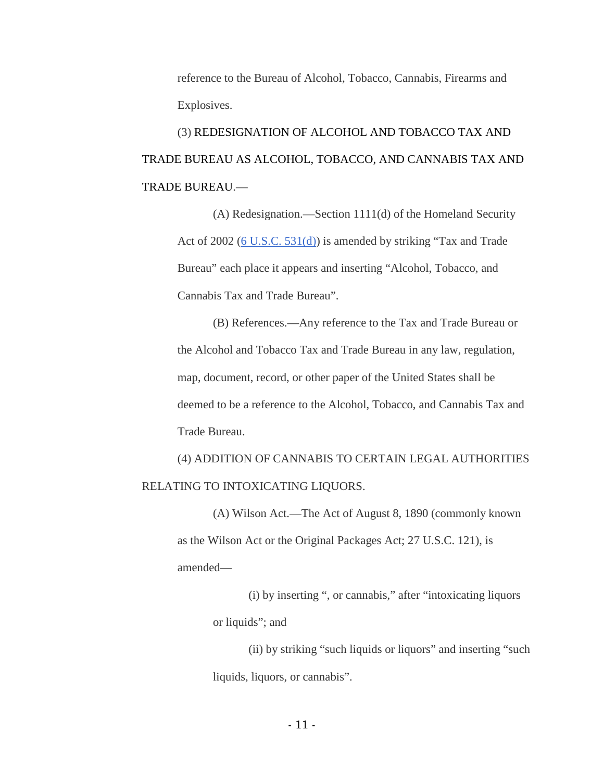reference to the Bureau of Alcohol, Tobacco, Cannabis, Firearms and Explosives.

(3) REDESIGNATION OF ALCOHOL AND TOBACCO TAX AND TRADE BUREAU AS ALCOHOL, TOBACCO, AND CANNABIS TAX AND TRADE BUREAU.—

(A) Redesignation.—Section 1111(d) of the Homeland Security Act of 2002 (6 U.S.C. 531(d)) is amended by striking "Tax and Trade Bureau" each place it appears and inserting "Alcohol, Tobacco, and Cannabis Tax and Trade Bureau".

(B) References.—Any reference to the Tax and Trade Bureau or the Alcohol and Tobacco Tax and Trade Bureau in any law, regulation, map, document, record, or other paper of the United States shall be deemed to be a reference to the Alcohol, Tobacco, and Cannabis Tax and Trade Bureau.

(4) ADDITION OF CANNABIS TO CERTAIN LEGAL AUTHORITIES RELATING TO INTOXICATING LIQUORS.

(A) Wilson Act.—The Act of August 8, 1890 (commonly known as the Wilson Act or the Original Packages Act; 27 U.S.C. 121), is amended—

> (i) by inserting ", or cannabis," after "intoxicating liquors or liquids"; and

(ii) by striking "such liquids or liquors" and inserting "such liquids, liquors, or cannabis".

- 11 -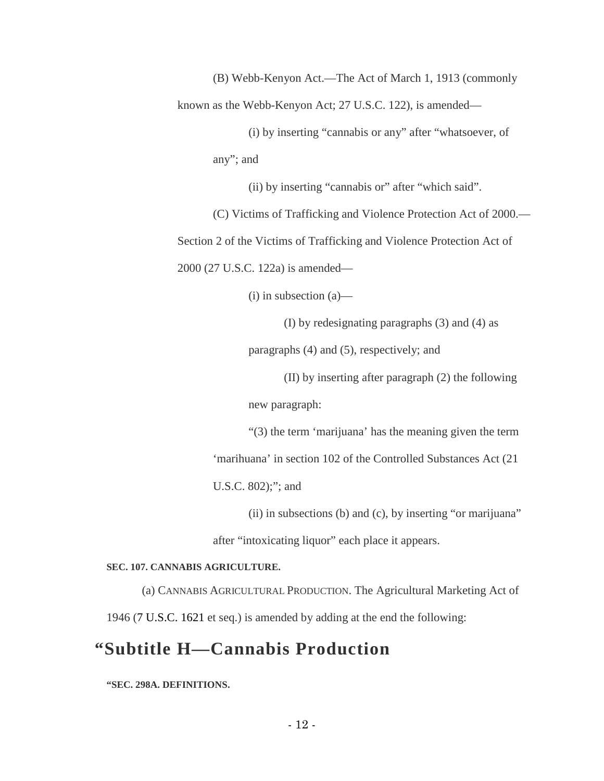(B) Webb-Kenyon Act.—The Act of March 1, 1913 (commonly known as the Webb-Kenyon Act; 27 U.S.C. 122), is amended—

> (i) by inserting "cannabis or any" after "whatsoever, of any"; and

> > (ii) by inserting "cannabis or" after "which said".

(C) Victims of Trafficking and Violence Protection Act of 2000.—

Section 2 of the Victims of Trafficking and Violence Protection Act of

2000 (27 U.S.C. 122a) is amended—

(i) in subsection (a)—

(I) by redesignating paragraphs (3) and (4) as

paragraphs (4) and (5), respectively; and

(II) by inserting after paragraph (2) the following new paragraph:

"(3) the term 'marijuana' has the meaning given the term 'marihuana' in section 102 of the Controlled Substances Act (21 U.S.C. 802);"; and

(ii) in subsections (b) and (c), by inserting "or marijuana"

after "intoxicating liquor" each place it appears.

#### **SEC. 107. CANNABIS AGRICULTURE.**

(a) CANNABIS AGRICULTURAL PRODUCTION. The Agricultural Marketing Act of 1946 (7 U.S.C. 1621 et seq.) is amended by adding at the end the following:

## **"Subtitle H—Cannabis Production**

**"SEC. 298A. DEFINITIONS.**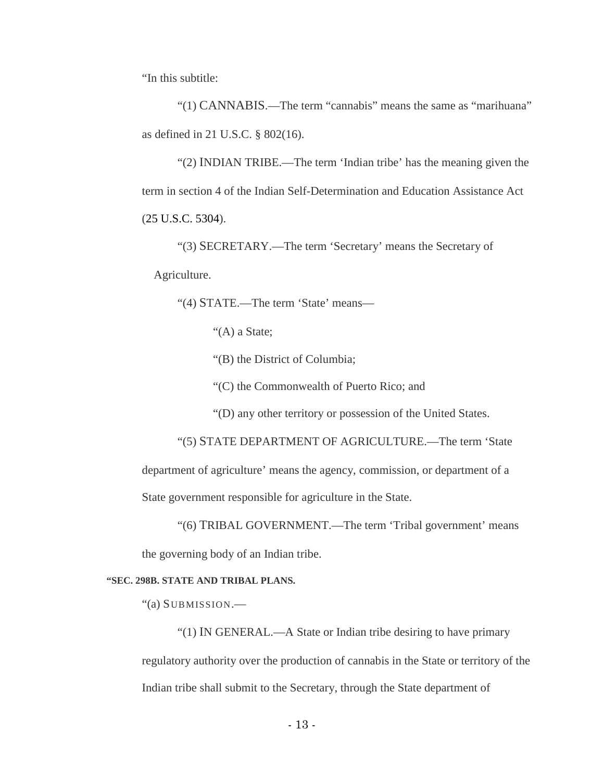"In this subtitle:

"(1) CANNABIS.—The term "cannabis" means the same as "marihuana" as defined in 21 U.S.C. § 802(16).

"(2) INDIAN TRIBE.—The term 'Indian tribe' has the meaning given the term in section 4 of the Indian Self-Determination and Education Assistance Act (25 U.S.C. 5304).

"(3) SECRETARY.—The term 'Secretary' means the Secretary of Agriculture.

"(4) STATE.—The term 'State' means—

"(A) a State;

"(B) the District of Columbia;

"(C) the Commonwealth of Puerto Rico; and

"(D) any other territory or possession of the United States.

"(5) STATE DEPARTMENT OF AGRICULTURE.—The term 'State department of agriculture' means the agency, commission, or department of a State government responsible for agriculture in the State.

"(6) TRIBAL GOVERNMENT.—The term 'Tribal government' means the governing body of an Indian tribe.

#### **"SEC. 298B. STATE AND TRIBAL PLANS.**

"(a) SUBMISSION.—

"(1) IN GENERAL.—A State or Indian tribe desiring to have primary regulatory authority over the production of cannabis in the State or territory of the Indian tribe shall submit to the Secretary, through the State department of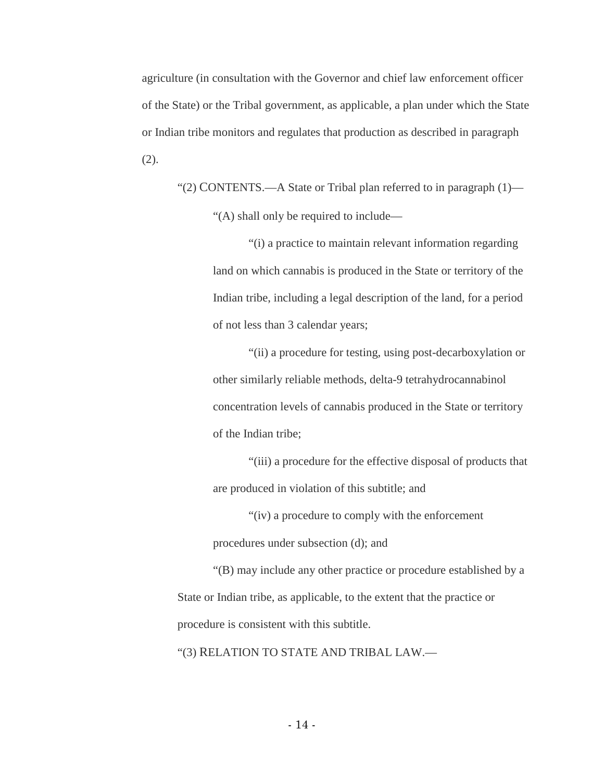agriculture (in consultation with the Governor and chief law enforcement officer of the State) or the Tribal government, as applicable, a plan under which the State or Indian tribe monitors and regulates that production as described in paragraph (2).

"(2) CONTENTS.—A State or Tribal plan referred to in paragraph (1)— "(A) shall only be required to include—

> "(i) a practice to maintain relevant information regarding land on which cannabis is produced in the State or territory of the Indian tribe, including a legal description of the land, for a period of not less than 3 calendar years;

> "(ii) a procedure for testing, using post-decarboxylation or other similarly reliable methods, delta-9 tetrahydrocannabinol concentration levels of cannabis produced in the State or territory of the Indian tribe;

> "(iii) a procedure for the effective disposal of products that are produced in violation of this subtitle; and

"(iv) a procedure to comply with the enforcement procedures under subsection (d); and

"(B) may include any other practice or procedure established by a State or Indian tribe, as applicable, to the extent that the practice or procedure is consistent with this subtitle.

"(3) RELATION TO STATE AND TRIBAL LAW.—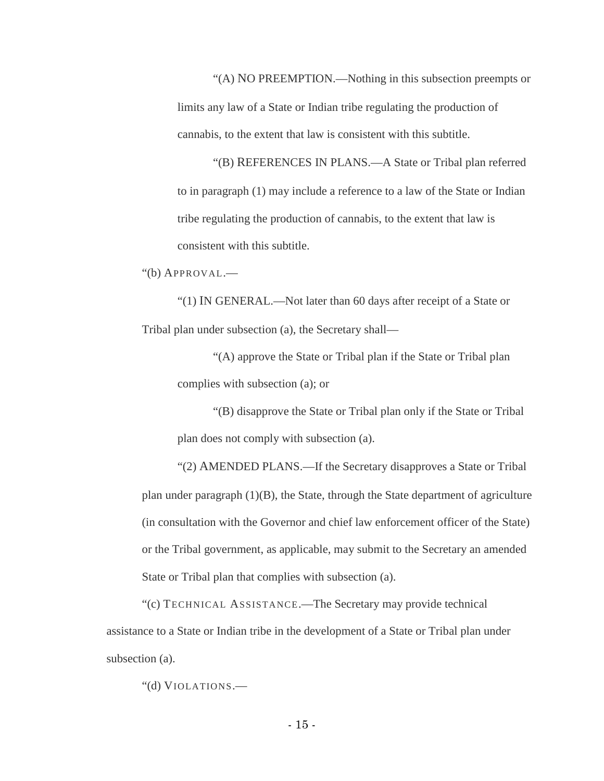"(A) NO PREEMPTION.—Nothing in this subsection preempts or limits any law of a State or Indian tribe regulating the production of cannabis, to the extent that law is consistent with this subtitle.

"(B) REFERENCES IN PLANS.—A State or Tribal plan referred to in paragraph (1) may include a reference to a law of the State or Indian tribe regulating the production of cannabis, to the extent that law is consistent with this subtitle.

"(b) APPROVAL.—

"(1) IN GENERAL.—Not later than 60 days after receipt of a State or Tribal plan under subsection (a), the Secretary shall—

"(A) approve the State or Tribal plan if the State or Tribal plan complies with subsection (a); or

"(B) disapprove the State or Tribal plan only if the State or Tribal plan does not comply with subsection (a).

"(2) AMENDED PLANS.—If the Secretary disapproves a State or Tribal plan under paragraph  $(1)(B)$ , the State, through the State department of agriculture (in consultation with the Governor and chief law enforcement officer of the State) or the Tribal government, as applicable, may submit to the Secretary an amended State or Tribal plan that complies with subsection (a).

"(c) TECHNICAL ASSISTANCE.—The Secretary may provide technical assistance to a State or Indian tribe in the development of a State or Tribal plan under subsection (a).

"(d) VIOLATIONS.—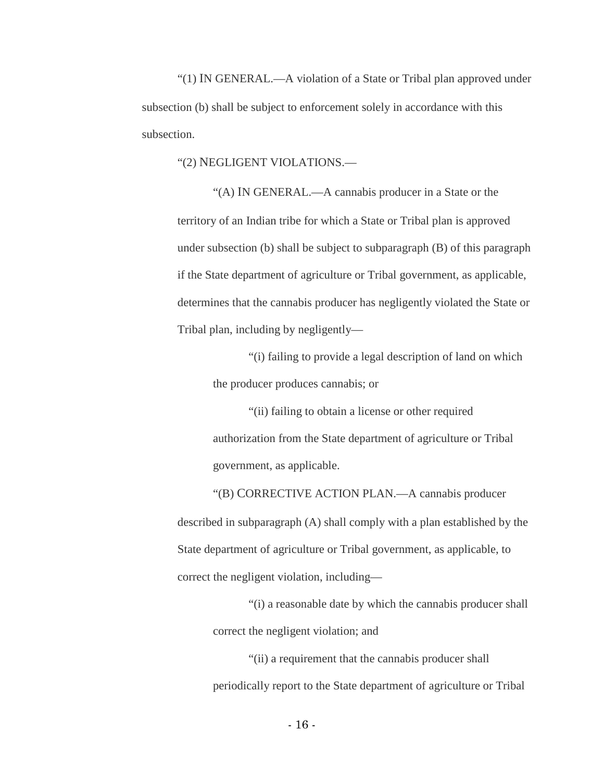"(1) IN GENERAL.—A violation of a State or Tribal plan approved under subsection (b) shall be subject to enforcement solely in accordance with this subsection.

"(2) NEGLIGENT VIOLATIONS.—

"(A) IN GENERAL.—A cannabis producer in a State or the territory of an Indian tribe for which a State or Tribal plan is approved under subsection (b) shall be subject to subparagraph (B) of this paragraph if the State department of agriculture or Tribal government, as applicable, determines that the cannabis producer has negligently violated the State or Tribal plan, including by negligently—

> "(i) failing to provide a legal description of land on which the producer produces cannabis; or

"(ii) failing to obtain a license or other required authorization from the State department of agriculture or Tribal government, as applicable.

"(B) CORRECTIVE ACTION PLAN.—A cannabis producer described in subparagraph (A) shall comply with a plan established by the State department of agriculture or Tribal government, as applicable, to correct the negligent violation, including—

"(i) a reasonable date by which the cannabis producer shall correct the negligent violation; and

"(ii) a requirement that the cannabis producer shall periodically report to the State department of agriculture or Tribal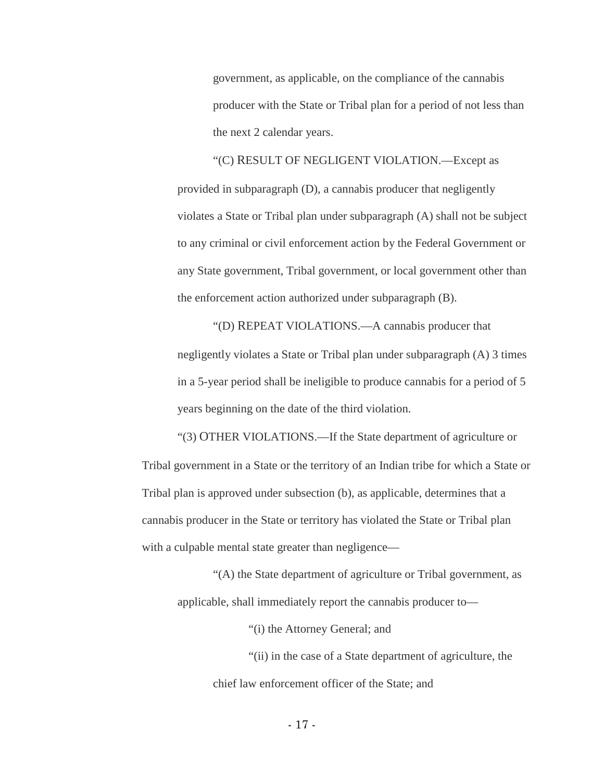government, as applicable, on the compliance of the cannabis producer with the State or Tribal plan for a period of not less than the next 2 calendar years.

"(C) RESULT OF NEGLIGENT VIOLATION.—Except as provided in subparagraph (D), a cannabis producer that negligently violates a State or Tribal plan under subparagraph (A) shall not be subject to any criminal or civil enforcement action by the Federal Government or any State government, Tribal government, or local government other than the enforcement action authorized under subparagraph (B).

"(D) REPEAT VIOLATIONS.—A cannabis producer that negligently violates a State or Tribal plan under subparagraph (A) 3 times in a 5-year period shall be ineligible to produce cannabis for a period of 5 years beginning on the date of the third violation.

"(3) OTHER VIOLATIONS.—If the State department of agriculture or Tribal government in a State or the territory of an Indian tribe for which a State or Tribal plan is approved under subsection (b), as applicable, determines that a cannabis producer in the State or territory has violated the State or Tribal plan with a culpable mental state greater than negligence—

"(A) the State department of agriculture or Tribal government, as applicable, shall immediately report the cannabis producer to—

"(i) the Attorney General; and

"(ii) in the case of a State department of agriculture, the chief law enforcement officer of the State; and

- 17 -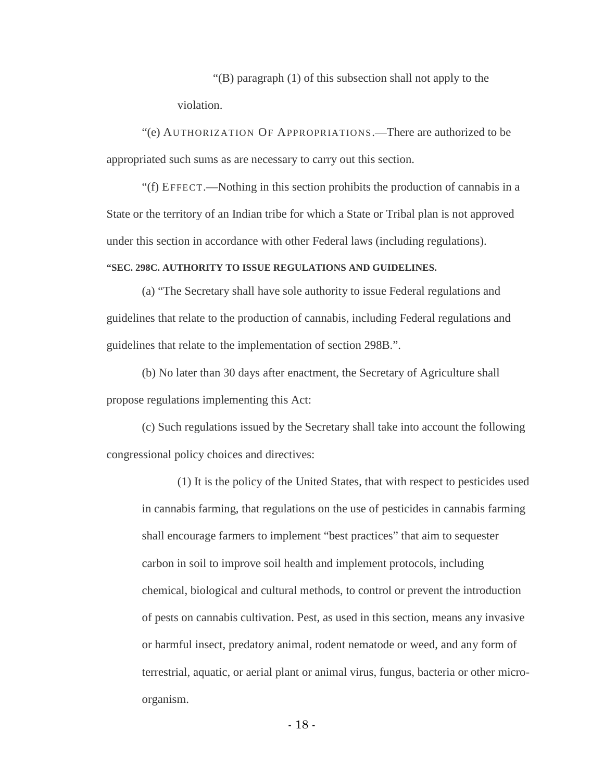"(B) paragraph (1) of this subsection shall not apply to the violation.

"(e) AUTHORIZATION OF APPROPRIATIONS.—There are authorized to be appropriated such sums as are necessary to carry out this section.

"(f) EFFECT.—Nothing in this section prohibits the production of cannabis in a State or the territory of an Indian tribe for which a State or Tribal plan is not approved under this section in accordance with other Federal laws (including regulations).

#### **"SEC. 298C. AUTHORITY TO ISSUE REGULATIONS AND GUIDELINES.**

(a) "The Secretary shall have sole authority to issue Federal regulations and guidelines that relate to the production of cannabis, including Federal regulations and guidelines that relate to the implementation of section 298B.".

(b) No later than 30 days after enactment, the Secretary of Agriculture shall propose regulations implementing this Act:

(c) Such regulations issued by the Secretary shall take into account the following congressional policy choices and directives:

(1) It is the policy of the United States, that with respect to pesticides used in cannabis farming, that regulations on the use of pesticides in cannabis farming shall encourage farmers to implement "best practices" that aim to sequester carbon in soil to improve soil health and implement protocols, including chemical, biological and cultural methods, to control or prevent the introduction of pests on cannabis cultivation. Pest, as used in this section, means any invasive or harmful insect, predatory animal, rodent nematode or weed, and any form of terrestrial, aquatic, or aerial plant or animal virus, fungus, bacteria or other microorganism.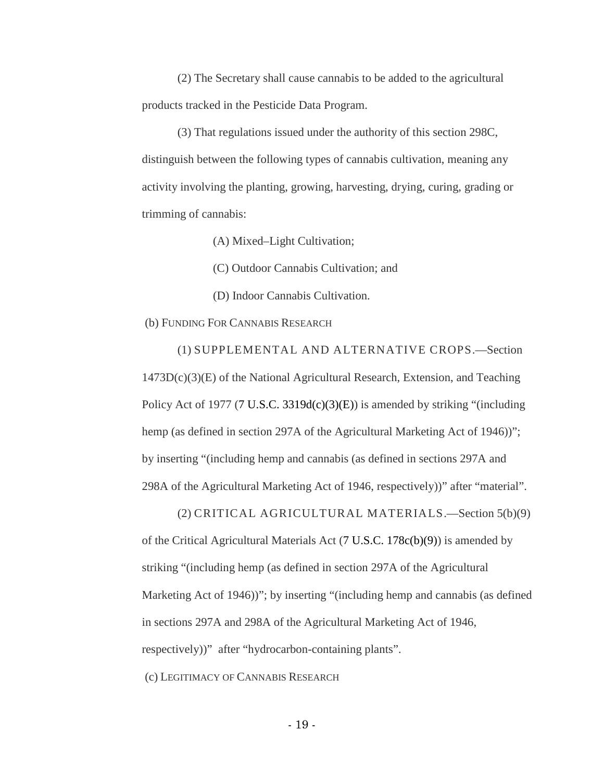(2) The Secretary shall cause cannabis to be added to the agricultural products tracked in the Pesticide Data Program.

(3) That regulations issued under the authority of this section 298C, distinguish between the following types of cannabis cultivation, meaning any activity involving the planting, growing, harvesting, drying, curing, grading or trimming of cannabis:

(A) Mixed–Light Cultivation;

(C) Outdoor Cannabis Cultivation; and

(D) Indoor Cannabis Cultivation.

(b) FUNDING FOR CANNABIS RESEARCH

(1) SUPPLEMENTAL AND ALTERNATIVE CROPS.—Section  $1473D(c)(3)(E)$  of the National Agricultural Research, Extension, and Teaching Policy Act of 1977 (7 U.S.C. 3319 $d(c)(3)(E)$ ) is amended by striking "(including hemp (as defined in section 297A of the Agricultural Marketing Act of 1946)"; by inserting "(including hemp and cannabis (as defined in sections 297A and 298A of the Agricultural Marketing Act of 1946, respectively))" after "material".

(2) CRITICAL AGRICULTURAL MATERIALS.—Section 5(b)(9) of the Critical Agricultural Materials Act (7 U.S.C. 178c(b)(9)) is amended by striking "(including hemp (as defined in section 297A of the Agricultural Marketing Act of 1946))"; by inserting "(including hemp and cannabis (as defined in sections 297A and 298A of the Agricultural Marketing Act of 1946, respectively))" after "hydrocarbon-containing plants".

(c) LEGITIMACY OF CANNABIS RESEARCH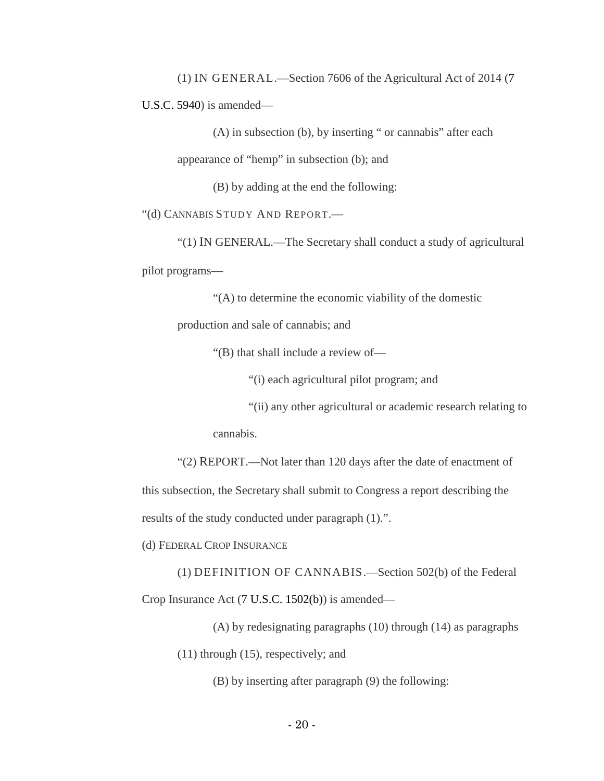(1) IN GENERAL.—Section 7606 of the Agricultural Act of 2014 (7 U.S.C. 5940) is amended—

(A) in subsection (b), by inserting " or cannabis" after each appearance of "hemp" in subsection (b); and

(B) by adding at the end the following:

"(d) CANNABIS STUDY AND REPORT.—

"(1) IN GENERAL.—The Secretary shall conduct a study of agricultural pilot programs—

"(A) to determine the economic viability of the domestic

production and sale of cannabis; and

"(B) that shall include a review of—

"(i) each agricultural pilot program; and

"(ii) any other agricultural or academic research relating to

cannabis.

"(2) REPORT.—Not later than 120 days after the date of enactment of this subsection, the Secretary shall submit to Congress a report describing the

results of the study conducted under paragraph (1).".

(d) FEDERAL CROP INSURANCE

(1) DEFINITION OF CANNABIS.—Section 502(b) of the Federal Crop Insurance Act (7 U.S.C. 1502(b)) is amended—

(A) by redesignating paragraphs (10) through (14) as paragraphs (11) through (15), respectively; and

(B) by inserting after paragraph (9) the following: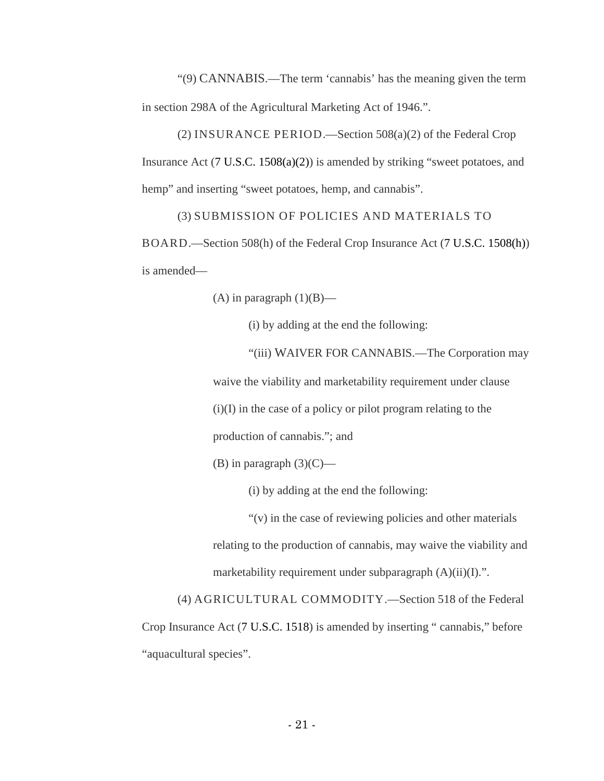"(9) CANNABIS.—The term 'cannabis' has the meaning given the term in section 298A of the Agricultural Marketing Act of 1946.".

(2) INSURANCE PERIOD.—Section 508(a)(2) of the Federal Crop Insurance Act (7 U.S.C. 1508(a)(2)) is amended by striking "sweet potatoes, and hemp" and inserting "sweet potatoes, hemp, and cannabis".

(3) SUBMISSION OF POLICIES AND MATERIALS TO

BOARD.—Section 508(h) of the Federal Crop Insurance Act (7 U.S.C. 1508(h)) is amended—

(A) in paragraph  $(1)(B)$ —

(i) by adding at the end the following:

"(iii) WAIVER FOR CANNABIS.—The Corporation may

waive the viability and marketability requirement under clause (i)(I) in the case of a policy or pilot program relating to the

production of cannabis."; and

(B) in paragraph  $(3)(C)$ —

(i) by adding at the end the following:

"(v) in the case of reviewing policies and other materials relating to the production of cannabis, may waive the viability and marketability requirement under subparagraph  $(A)(ii)(I)$ .".

(4) AGRICULTURAL COMMODITY.—Section 518 of the Federal Crop Insurance Act (7 U.S.C. 1518) is amended by inserting " cannabis," before "aquacultural species".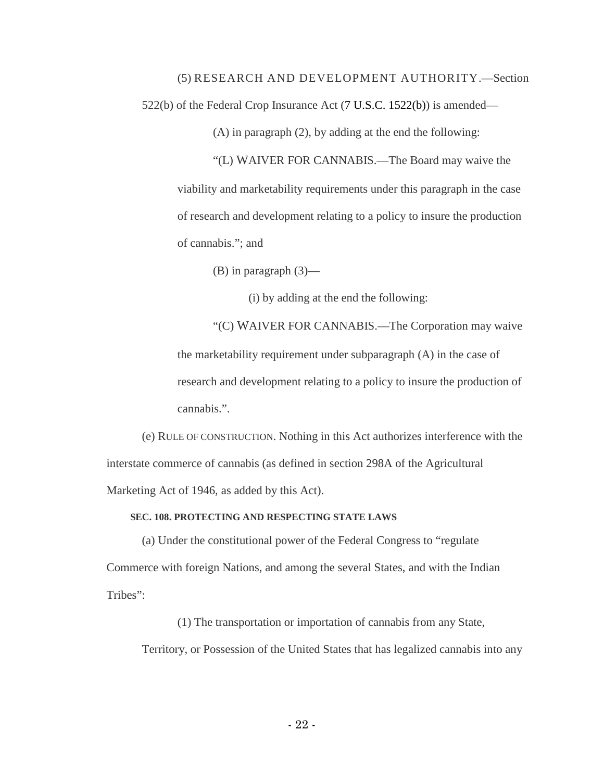(5) RESEARCH AND DEVELOPMENT AUTHORITY.—Section

522(b) of the Federal Crop Insurance Act (7 U.S.C. 1522(b)) is amended—

(A) in paragraph (2), by adding at the end the following:

"(L) WAIVER FOR CANNABIS.—The Board may waive the viability and marketability requirements under this paragraph in the case of research and development relating to a policy to insure the production of cannabis."; and

(B) in paragraph (3)—

(i) by adding at the end the following:

"(C) WAIVER FOR CANNABIS.—The Corporation may waive the marketability requirement under subparagraph (A) in the case of research and development relating to a policy to insure the production of cannabis.".

(e) RULE OF CONSTRUCTION. Nothing in this Act authorizes interference with the interstate commerce of cannabis (as defined in section 298A of the Agricultural Marketing Act of 1946, as added by this Act).

#### **SEC. 108. PROTECTING AND RESPECTING STATE LAWS**

(a) Under the constitutional power of the Federal Congress to "regulate Commerce with foreign Nations, and among the several States, and with the Indian Tribes":

(1) The transportation or importation of cannabis from any State, Territory, or Possession of the United States that has legalized cannabis into any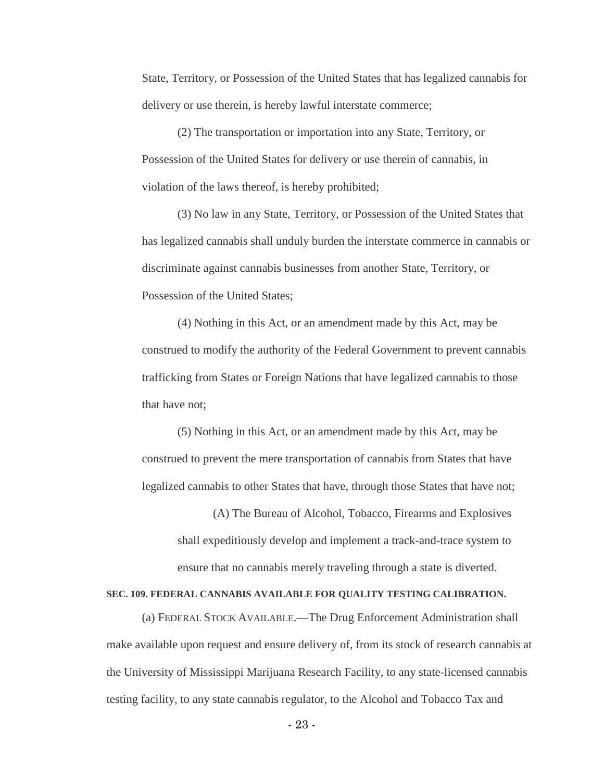State, Territory, or Possession of the United States that has legalized cannabis for delivery or use therein, is hereby lawful interstate commerce;

(2) The transportation or importation into any State, Territory, or Possession of the United States for delivery or use therein of cannabis, in violation of the laws thereof, is hereby prohibited;

(3) No law in any State, Territory, or Possession of the United States that has legalized cannabis shall unduly burden the interstate commerce in cannabis or discriminate against cannabis businesses from another State, Territory, or Possession of the United States;

(4) Nothing in this Act, or an amendment made by this Act, may be construed to modify the authority of the Federal Government to prevent cannabis trafficking from States or Foreign Nations that have legalized cannabis to those that have not;

(5) Nothing in this Act, or an amendment made by this Act, may be construed to prevent the mere transportation of cannabis from States that have legalized cannabis to other States that have, through those States that have not;

(A) The Bureau of Alcohol, Tobacco, Firearms and Explosives shall expeditiously develop and implement a track-and-trace system to ensure that no cannabis merely traveling through a state is diverted.

#### **SEC. 109. FEDERAL CANNABIS AVAILABLE FOR QUALITY TESTING CALIBRATION.**

(a) FEDERAL STOCK AVAILABLE.—The Drug Enforcement Administration shall make available upon request and ensure delivery of, from its stock of research cannabis at the University of Mississippi Marijuana Research Facility, to any state-licensed cannabis testing facility, to any state cannabis regulator, to the Alcohol and Tobacco Tax and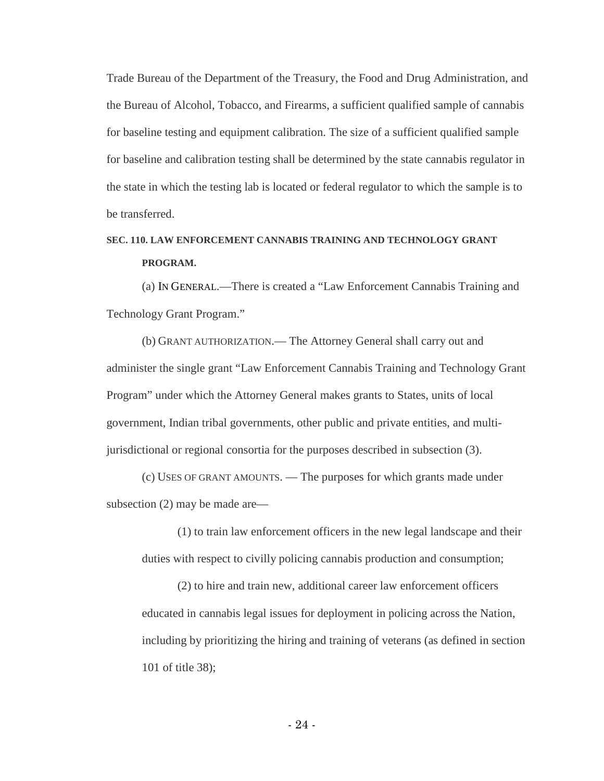Trade Bureau of the Department of the Treasury, the Food and Drug Administration, and the Bureau of Alcohol, Tobacco, and Firearms, a sufficient qualified sample of cannabis for baseline testing and equipment calibration. The size of a sufficient qualified sample for baseline and calibration testing shall be determined by the state cannabis regulator in the state in which the testing lab is located or federal regulator to which the sample is to be transferred.

## **SEC. 110. LAW ENFORCEMENT CANNABIS TRAINING AND TECHNOLOGY GRANT PROGRAM.**

(a) IN GENERAL.—There is created a "Law Enforcement Cannabis Training and Technology Grant Program."

(b) GRANT AUTHORIZATION.— The Attorney General shall carry out and administer the single grant "Law Enforcement Cannabis Training and Technology Grant Program" under which the Attorney General makes grants to States, units of local government, Indian tribal governments, other public and private entities, and multijurisdictional or regional consortia for the purposes described in subsection (3).

(c) USES OF GRANT AMOUNTS. — The purposes for which grants made under subsection (2) may be made are—

(1) to train law enforcement officers in the new legal landscape and their duties with respect to civilly policing cannabis production and consumption;

(2) to hire and train new, additional career law enforcement officers educated in cannabis legal issues for deployment in policing across the Nation, including by prioritizing the hiring and training of veterans (as defined in section 101 of title 38);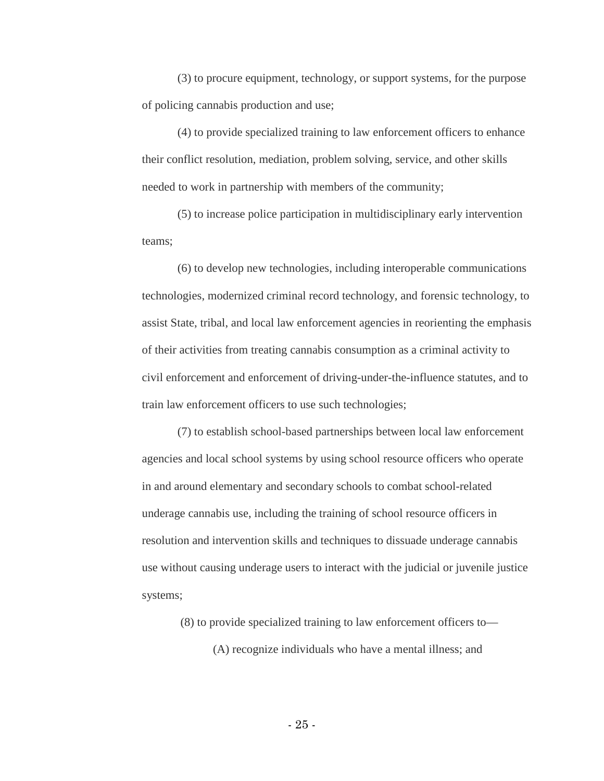(3) to procure equipment, technology, or support systems, for the purpose of policing cannabis production and use;

(4) to provide specialized training to law enforcement officers to enhance their conflict resolution, mediation, problem solving, service, and other skills needed to work in partnership with members of the community;

(5) to increase police participation in multidisciplinary early intervention teams;

(6) to develop new technologies, including interoperable communications technologies, modernized criminal record technology, and forensic technology, to assist State, tribal, and local law enforcement agencies in reorienting the emphasis of their activities from treating cannabis consumption as a criminal activity to civil enforcement and enforcement of driving-under-the-influence statutes, and to train law enforcement officers to use such technologies;

(7) to establish school-based partnerships between local law enforcement agencies and local school systems by using school resource officers who operate in and around elementary and secondary schools to combat school-related underage cannabis use, including the training of school resource officers in resolution and intervention skills and techniques to dissuade underage cannabis use without causing underage users to interact with the judicial or juvenile justice systems;

(8) to provide specialized training to law enforcement officers to—

(A) recognize individuals who have a mental illness; and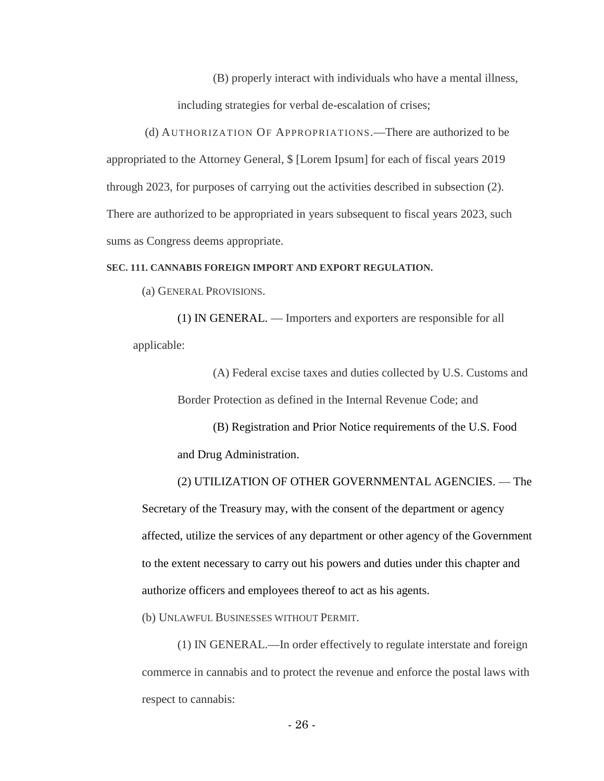(B) properly interact with individuals who have a mental illness,

including strategies for verbal de-escalation of crises;

(d) AUTHORIZATION OF APPROPRIATIONS.—There are authorized to be appropriated to the Attorney General, \$ [Lorem Ipsum] for each of fiscal years 2019 through 2023, for purposes of carrying out the activities described in subsection (2). There are authorized to be appropriated in years subsequent to fiscal years 2023, such sums as Congress deems appropriate.

#### **SEC. 111. CANNABIS FOREIGN IMPORT AND EXPORT REGULATION.**

(a) GENERAL PROVISIONS.

(1) IN GENERAL. — Importers and exporters are responsible for all applicable:

> (A) Federal excise taxes and duties collected by U.S. Customs and Border Protection as defined in the Internal Revenue Code; and

(B) Registration and Prior Notice requirements of the U.S. Food and Drug Administration.

(2) UTILIZATION OF OTHER GOVERNMENTAL AGENCIES. — The Secretary of the Treasury may, with the consent of the department or agency affected, utilize the services of any department or other agency of the Government to the extent necessary to carry out his powers and duties under this chapter and authorize officers and employees thereof to act as his agents.

(b) UNLAWFUL BUSINESSES WITHOUT PERMIT.

(1) IN GENERAL.—In order effectively to regulate interstate and foreign commerce in cannabis and to protect the revenue and enforce the postal laws with respect to cannabis: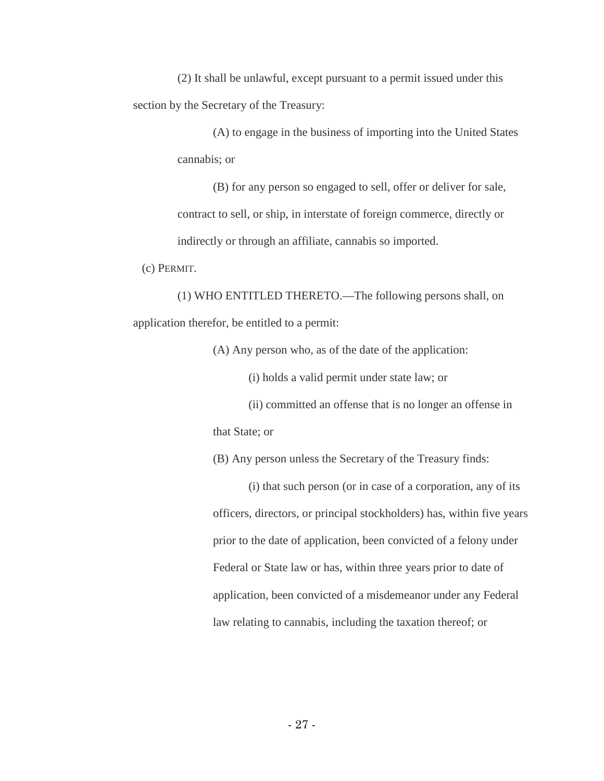(2) It shall be unlawful, except pursuant to a permit issued under this section by the Secretary of the Treasury:

> (A) to engage in the business of importing into the United States cannabis; or

(B) for any person so engaged to sell, offer or deliver for sale, contract to sell, or ship, in interstate of foreign commerce, directly or indirectly or through an affiliate, cannabis so imported.

(c) PERMIT.

(1) WHO ENTITLED THERETO.—The following persons shall, on application therefor, be entitled to a permit:

(A) Any person who, as of the date of the application:

(i) holds a valid permit under state law; or

(ii) committed an offense that is no longer an offense in

that State; or

(B) Any person unless the Secretary of the Treasury finds:

(i) that such person (or in case of a corporation, any of its officers, directors, or principal stockholders) has, within five years prior to the date of application, been convicted of a felony under Federal or State law or has, within three years prior to date of application, been convicted of a misdemeanor under any Federal law relating to cannabis, including the taxation thereof; or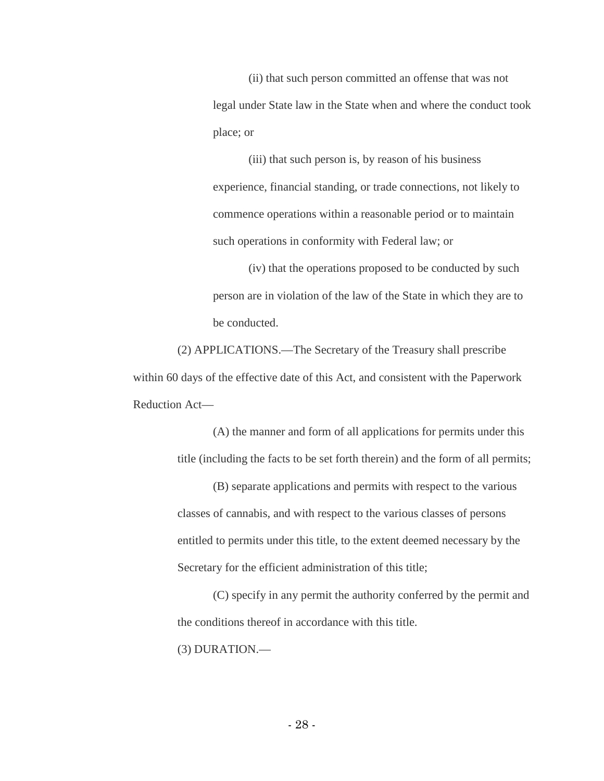(ii) that such person committed an offense that was not legal under State law in the State when and where the conduct took place; or

(iii) that such person is, by reason of his business experience, financial standing, or trade connections, not likely to commence operations within a reasonable period or to maintain such operations in conformity with Federal law; or

(iv) that the operations proposed to be conducted by such person are in violation of the law of the State in which they are to be conducted.

(2) APPLICATIONS.—The Secretary of the Treasury shall prescribe within 60 days of the effective date of this Act, and consistent with the Paperwork Reduction Act—

> (A) the manner and form of all applications for permits under this title (including the facts to be set forth therein) and the form of all permits;

(B) separate applications and permits with respect to the various classes of cannabis, and with respect to the various classes of persons entitled to permits under this title, to the extent deemed necessary by the Secretary for the efficient administration of this title;

(C) specify in any permit the authority conferred by the permit and the conditions thereof in accordance with this title. (3) DURATION.—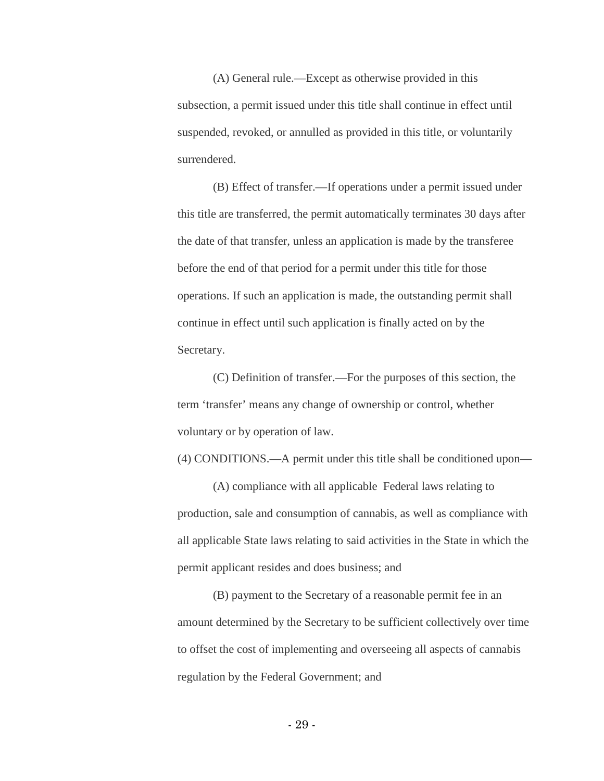(A) General rule.—Except as otherwise provided in this subsection, a permit issued under this title shall continue in effect until suspended, revoked, or annulled as provided in this title, or voluntarily surrendered.

(B) Effect of transfer.—If operations under a permit issued under this title are transferred, the permit automatically terminates 30 days after the date of that transfer, unless an application is made by the transferee before the end of that period for a permit under this title for those operations. If such an application is made, the outstanding permit shall continue in effect until such application is finally acted on by the Secretary.

(C) Definition of transfer.—For the purposes of this section, the term 'transfer' means any change of ownership or control, whether voluntary or by operation of law.

(4) CONDITIONS.—A permit under this title shall be conditioned upon—

(A) compliance with all applicable Federal laws relating to production, sale and consumption of cannabis, as well as compliance with all applicable State laws relating to said activities in the State in which the permit applicant resides and does business; and

(B) payment to the Secretary of a reasonable permit fee in an amount determined by the Secretary to be sufficient collectively over time to offset the cost of implementing and overseeing all aspects of cannabis regulation by the Federal Government; and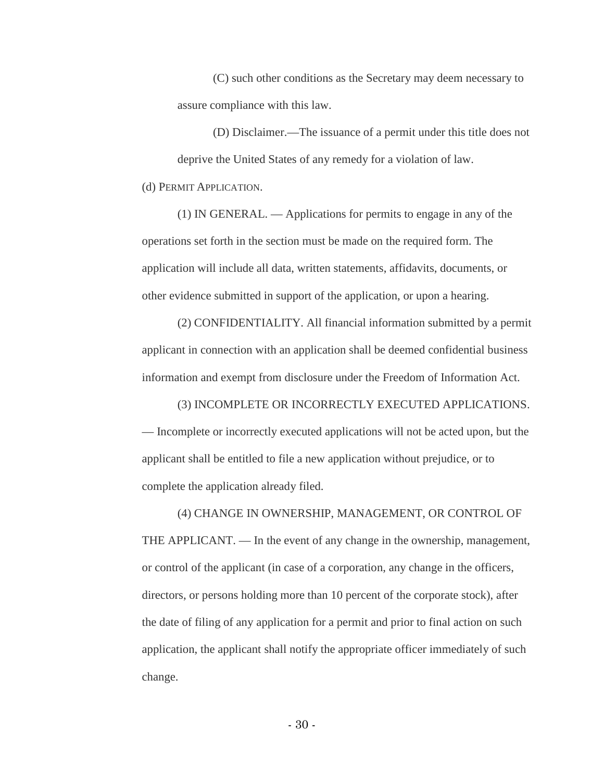(C) such other conditions as the Secretary may deem necessary to assure compliance with this law.

(D) Disclaimer.—The issuance of a permit under this title does not deprive the United States of any remedy for a violation of law. (d) PERMIT APPLICATION.

(1) IN GENERAL. — Applications for permits to engage in any of the operations set forth in the section must be made on the required form. The application will include all data, written statements, affidavits, documents, or other evidence submitted in support of the application, or upon a hearing.

(2) CONFIDENTIALITY. All financial information submitted by a permit applicant in connection with an application shall be deemed confidential business information and exempt from disclosure under the Freedom of Information Act.

(3) INCOMPLETE OR INCORRECTLY EXECUTED APPLICATIONS. — Incomplete or incorrectly executed applications will not be acted upon, but the applicant shall be entitled to file a new application without prejudice, or to complete the application already filed.

(4) CHANGE IN OWNERSHIP, MANAGEMENT, OR CONTROL OF THE APPLICANT. — In the event of any change in the ownership, management, or control of the applicant (in case of a corporation, any change in the officers, directors, or persons holding more than 10 percent of the corporate stock), after the date of filing of any application for a permit and prior to final action on such application, the applicant shall notify the appropriate officer immediately of such change.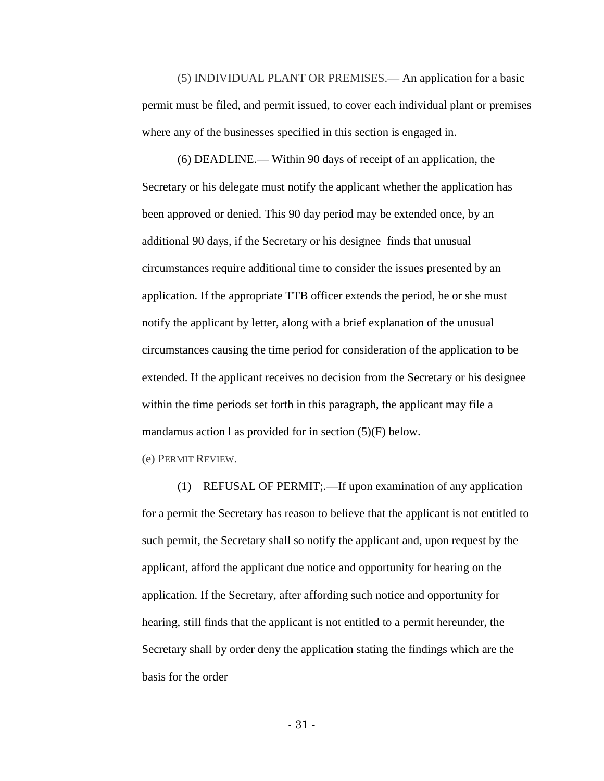(5) INDIVIDUAL PLANT OR PREMISES.— An application for a basic permit must be filed, and permit issued, to cover each individual plant or premises where any of the businesses specified in this section is engaged in.

(6) DEADLINE.— Within 90 days of receipt of an application, the Secretary or his delegate must notify the applicant whether the application has been approved or denied. This 90 day period may be extended once, by an additional 90 days, if the Secretary or his designee finds that unusual circumstances require additional time to consider the issues presented by an application. If the appropriate TTB officer extends the period, he or she must notify the applicant by letter, along with a brief explanation of the unusual circumstances causing the time period for consideration of the application to be extended. If the applicant receives no decision from the Secretary or his designee within the time periods set forth in this paragraph, the applicant may file a mandamus action l as provided for in section (5)(F) below.

(e) PERMIT REVIEW.

(1) REFUSAL OF PERMIT;.—If upon examination of any application for a permit the Secretary has reason to believe that the applicant is not entitled to such permit, the Secretary shall so notify the applicant and, upon request by the applicant, afford the applicant due notice and opportunity for hearing on the application. If the Secretary, after affording such notice and opportunity for hearing, still finds that the applicant is not entitled to a permit hereunder, the Secretary shall by order deny the application stating the findings which are the basis for the order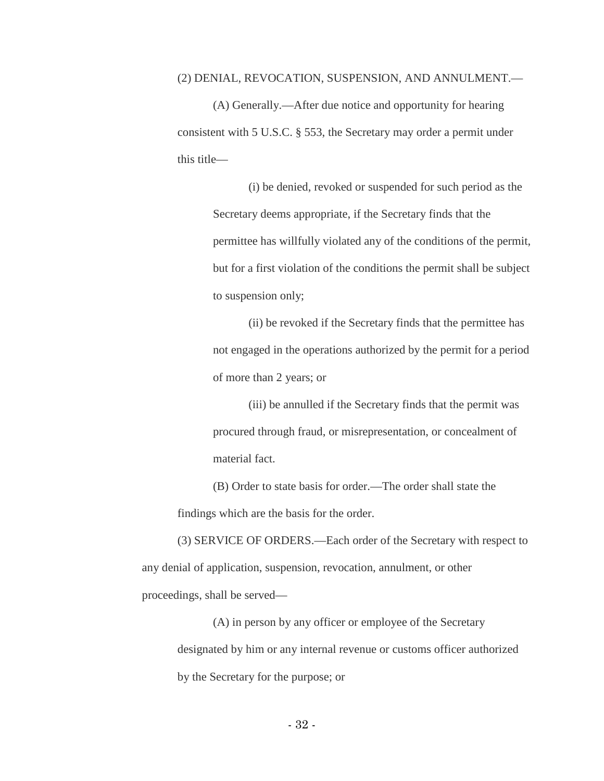#### (2) DENIAL, REVOCATION, SUSPENSION, AND ANNULMENT.—

(A) Generally.—After due notice and opportunity for hearing consistent with 5 U.S.C. § 553, the Secretary may order a permit under this title—

> (i) be denied, revoked or suspended for such period as the Secretary deems appropriate, if the Secretary finds that the permittee has willfully violated any of the conditions of the permit, but for a first violation of the conditions the permit shall be subject to suspension only;

> (ii) be revoked if the Secretary finds that the permittee has not engaged in the operations authorized by the permit for a period of more than 2 years; or

(iii) be annulled if the Secretary finds that the permit was procured through fraud, or misrepresentation, or concealment of material fact.

(B) Order to state basis for order.—The order shall state the findings which are the basis for the order.

(3) SERVICE OF ORDERS.—Each order of the Secretary with respect to any denial of application, suspension, revocation, annulment, or other proceedings, shall be served—

(A) in person by any officer or employee of the Secretary designated by him or any internal revenue or customs officer authorized by the Secretary for the purpose; or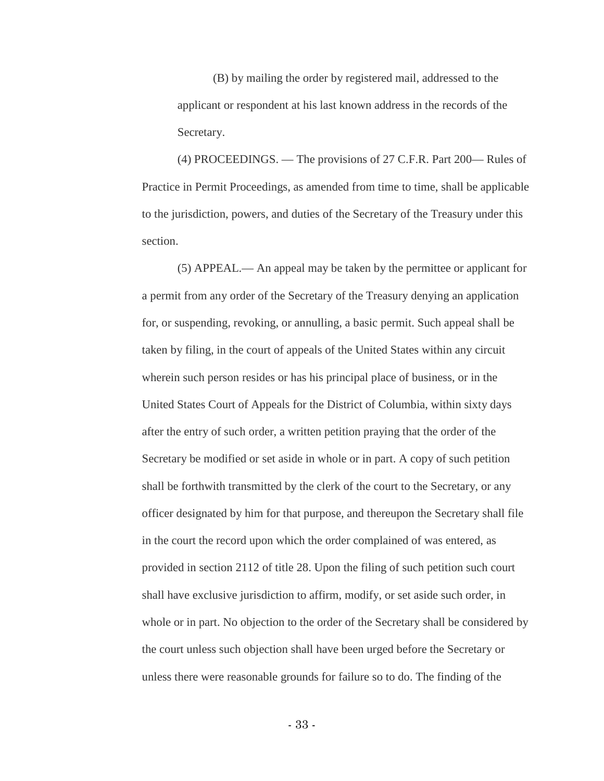(B) by mailing the order by registered mail, addressed to the applicant or respondent at his last known address in the records of the Secretary.

(4) PROCEEDINGS. — The provisions of 27 C.F.R. Part 200— Rules of Practice in Permit Proceedings, as amended from time to time, shall be applicable to the jurisdiction, powers, and duties of the Secretary of the Treasury under this section.

(5) APPEAL.— An appeal may be taken by the permittee or applicant for a permit from any order of the Secretary of the Treasury denying an application for, or suspending, revoking, or annulling, a basic permit. Such appeal shall be taken by filing, in the court of appeals of the United States within any circuit wherein such person resides or has his principal place of business, or in the United States Court of Appeals for the District of Columbia, within sixty days after the entry of such order, a written petition praying that the order of the Secretary be modified or set aside in whole or in part. A copy of such petition shall be forthwith transmitted by the clerk of the court to the Secretary, or any officer designated by him for that purpose, and thereupon the Secretary shall file in the court the record upon which the order complained of was entered, as provided in section 2112 of title 28. Upon the filing of such petition such court shall have exclusive jurisdiction to affirm, modify, or set aside such order, in whole or in part. No objection to the order of the Secretary shall be considered by the court unless such objection shall have been urged before the Secretary or unless there were reasonable grounds for failure so to do. The finding of the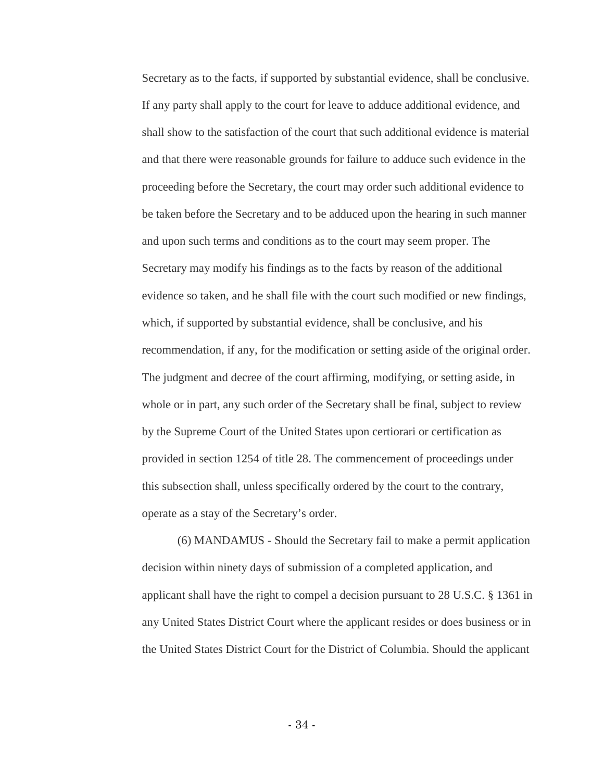Secretary as to the facts, if supported by substantial evidence, shall be conclusive. If any party shall apply to the court for leave to adduce additional evidence, and shall show to the satisfaction of the court that such additional evidence is material and that there were reasonable grounds for failure to adduce such evidence in the proceeding before the Secretary, the court may order such additional evidence to be taken before the Secretary and to be adduced upon the hearing in such manner and upon such terms and conditions as to the court may seem proper. The Secretary may modify his findings as to the facts by reason of the additional evidence so taken, and he shall file with the court such modified or new findings, which, if supported by substantial evidence, shall be conclusive, and his recommendation, if any, for the modification or setting aside of the original order. The judgment and decree of the court affirming, modifying, or setting aside, in whole or in part, any such order of the Secretary shall be final, subject to review by the Supreme Court of the United States upon certiorari or certification as provided in section 1254 of title 28. The commencement of proceedings under this subsection shall, unless specifically ordered by the court to the contrary, operate as a stay of the Secretary's order.

(6) MANDAMUS - Should the Secretary fail to make a permit application decision within ninety days of submission of a completed application, and applicant shall have the right to compel a decision pursuant to 28 U.S.C. § 1361 in any United States District Court where the applicant resides or does business or in the United States District Court for the District of Columbia. Should the applicant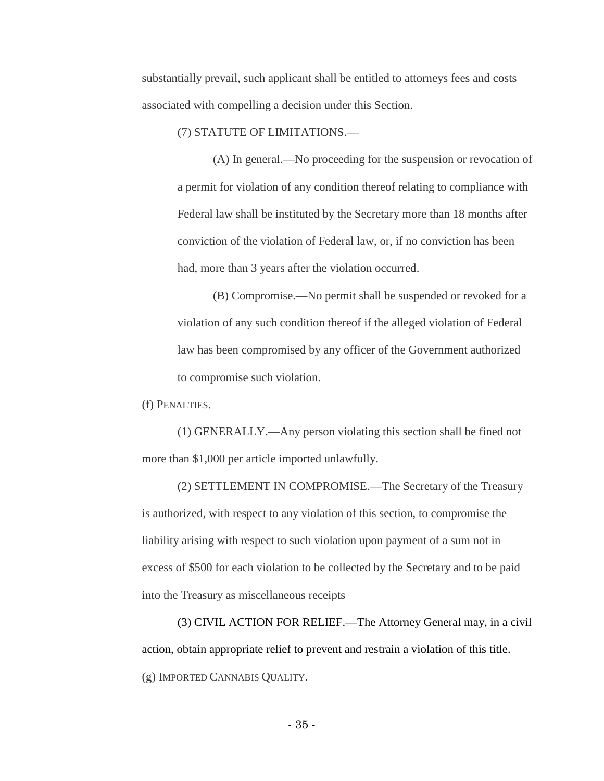substantially prevail, such applicant shall be entitled to attorneys fees and costs associated with compelling a decision under this Section.

(7) STATUTE OF LIMITATIONS.—

(A) In general.—No proceeding for the suspension or revocation of a permit for violation of any condition thereof relating to compliance with Federal law shall be instituted by the Secretary more than 18 months after conviction of the violation of Federal law, or, if no conviction has been had, more than 3 years after the violation occurred.

(B) Compromise.—No permit shall be suspended or revoked for a violation of any such condition thereof if the alleged violation of Federal law has been compromised by any officer of the Government authorized to compromise such violation.

(f) PENALTIES.

(1) GENERALLY.—Any person violating this section shall be fined not more than \$1,000 per article imported unlawfully.

(2) SETTLEMENT IN COMPROMISE.—The Secretary of the Treasury is authorized, with respect to any violation of this section, to compromise the liability arising with respect to such violation upon payment of a sum not in excess of \$500 for each violation to be collected by the Secretary and to be paid into the Treasury as miscellaneous receipts

(3) CIVIL ACTION FOR RELIEF.—The Attorney General may, in a civil action, obtain appropriate relief to prevent and restrain a violation of this title. (g) IMPORTED CANNABIS QUALITY.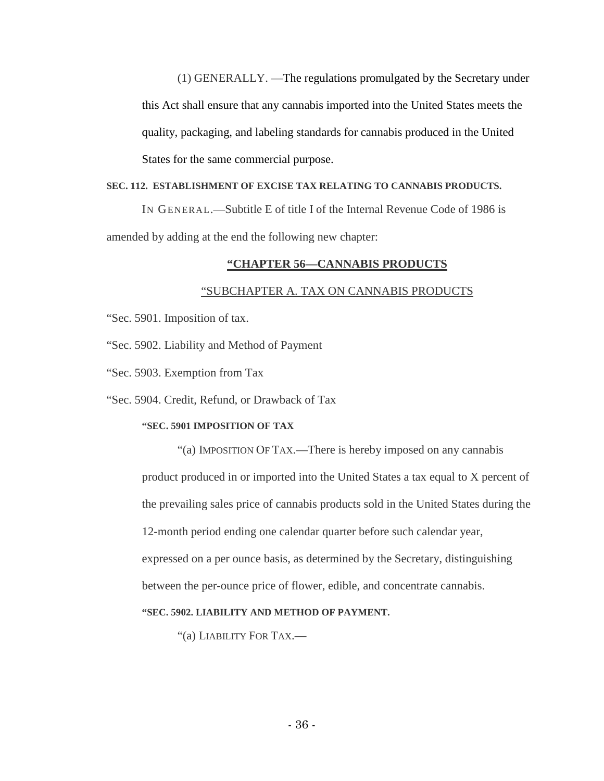(1) GENERALLY. —The regulations promulgated by the Secretary under this Act shall ensure that any cannabis imported into the United States meets the quality, packaging, and labeling standards for cannabis produced in the United States for the same commercial purpose.

# **SEC. 112. ESTABLISHMENT OF EXCISE TAX RELATING TO CANNABIS PRODUCTS.**

IN GENERAL.—Subtitle E of title I of the Internal Revenue Code of 1986 is amended by adding at the end the following new chapter:

#### **"CHAPTER 56—CANNABIS PRODUCTS**

#### "SUBCHAPTER A. TAX ON CANNABIS PRODUCTS

"Sec. 5901. Imposition of tax.

"Sec. 5902. Liability and Method of Payment

"Sec. 5903. Exemption from Tax

"Sec. 5904. Credit, Refund, or Drawback of Tax

# **"SEC. 5901 IMPOSITION OF TAX**

"(a) IMPOSITION OF TAX.—There is hereby imposed on any cannabis product produced in or imported into the United States a tax equal to X percent of the prevailing sales price of cannabis products sold in the United States during the 12-month period ending one calendar quarter before such calendar year, expressed on a per ounce basis, as determined by the Secretary, distinguishing between the per-ounce price of flower, edible, and concentrate cannabis.

#### **"SEC. 5902. LIABILITY AND METHOD OF PAYMENT.**

"(a) LIABILITY FOR TAX.—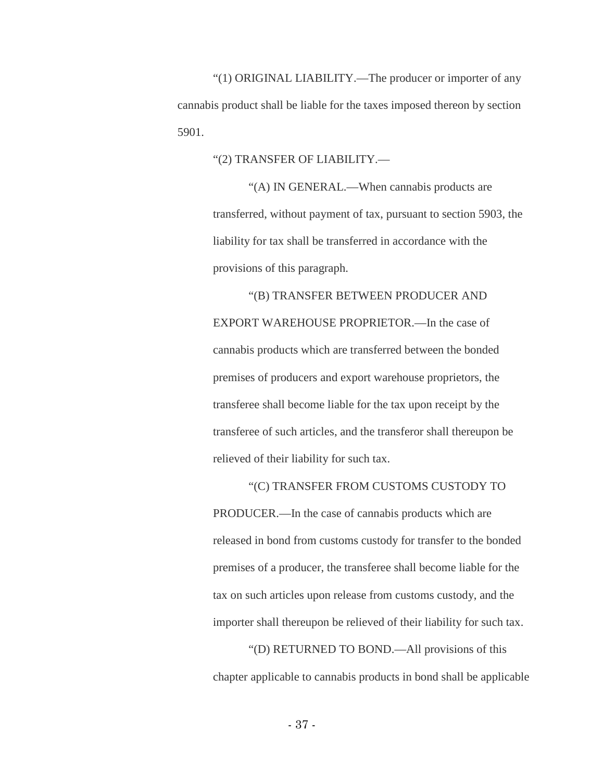"(1) ORIGINAL LIABILITY.—The producer or importer of any cannabis product shall be liable for the taxes imposed thereon by section 5901.

"(2) TRANSFER OF LIABILITY.—

"(A) IN GENERAL.—When cannabis products are transferred, without payment of tax, pursuant to section 5903, the liability for tax shall be transferred in accordance with the provisions of this paragraph.

"(B) TRANSFER BETWEEN PRODUCER AND EXPORT WAREHOUSE PROPRIETOR.—In the case of cannabis products which are transferred between the bonded premises of producers and export warehouse proprietors, the transferee shall become liable for the tax upon receipt by the transferee of such articles, and the transferor shall thereupon be relieved of their liability for such tax.

"(C) TRANSFER FROM CUSTOMS CUSTODY TO PRODUCER.—In the case of cannabis products which are released in bond from customs custody for transfer to the bonded premises of a producer, the transferee shall become liable for the tax on such articles upon release from customs custody, and the importer shall thereupon be relieved of their liability for such tax.

"(D) RETURNED TO BOND.—All provisions of this chapter applicable to cannabis products in bond shall be applicable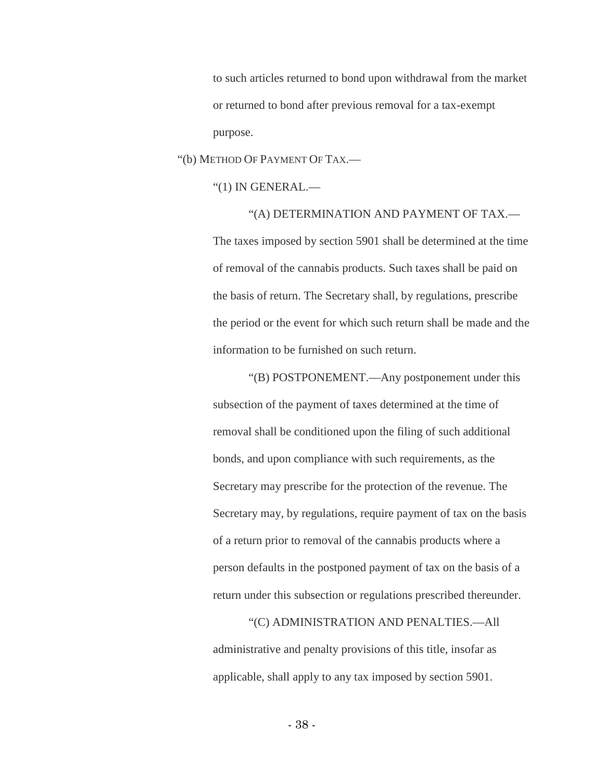to such articles returned to bond upon withdrawal from the market or returned to bond after previous removal for a tax-exempt purpose.

"(b) METHOD OF PAYMENT OF TAX.—

"(1) IN GENERAL.—

"(A) DETERMINATION AND PAYMENT OF TAX.— The taxes imposed by section 5901 shall be determined at the time of removal of the cannabis products. Such taxes shall be paid on the basis of return. The Secretary shall, by regulations, prescribe the period or the event for which such return shall be made and the information to be furnished on such return.

"(B) POSTPONEMENT.—Any postponement under this subsection of the payment of taxes determined at the time of removal shall be conditioned upon the filing of such additional bonds, and upon compliance with such requirements, as the Secretary may prescribe for the protection of the revenue. The Secretary may, by regulations, require payment of tax on the basis of a return prior to removal of the cannabis products where a person defaults in the postponed payment of tax on the basis of a return under this subsection or regulations prescribed thereunder.

"(C) ADMINISTRATION AND PENALTIES.—All administrative and penalty provisions of this title, insofar as applicable, shall apply to any tax imposed by section 5901.

- 38 -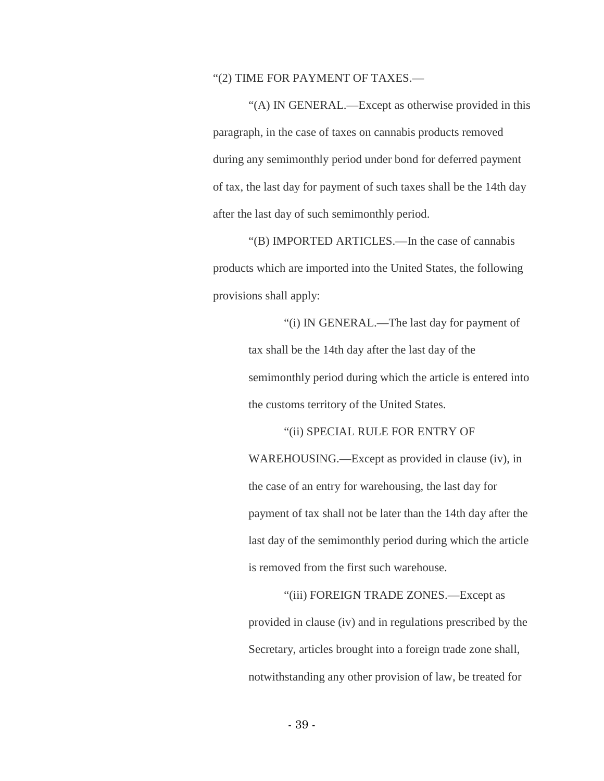## "(2) TIME FOR PAYMENT OF TAXES.—

"(A) IN GENERAL.—Except as otherwise provided in this paragraph, in the case of taxes on cannabis products removed during any semimonthly period under bond for deferred payment of tax, the last day for payment of such taxes shall be the 14th day after the last day of such semimonthly period.

"(B) IMPORTED ARTICLES.—In the case of cannabis products which are imported into the United States, the following provisions shall apply:

> "(i) IN GENERAL.—The last day for payment of tax shall be the 14th day after the last day of the semimonthly period during which the article is entered into the customs territory of the United States.

> > "(ii) SPECIAL RULE FOR ENTRY OF

WAREHOUSING.—Except as provided in clause (iv), in the case of an entry for warehousing, the last day for payment of tax shall not be later than the 14th day after the last day of the semimonthly period during which the article is removed from the first such warehouse.

"(iii) FOREIGN TRADE ZONES.—Except as provided in clause (iv) and in regulations prescribed by the Secretary, articles brought into a foreign trade zone shall, notwithstanding any other provision of law, be treated for

- 39 -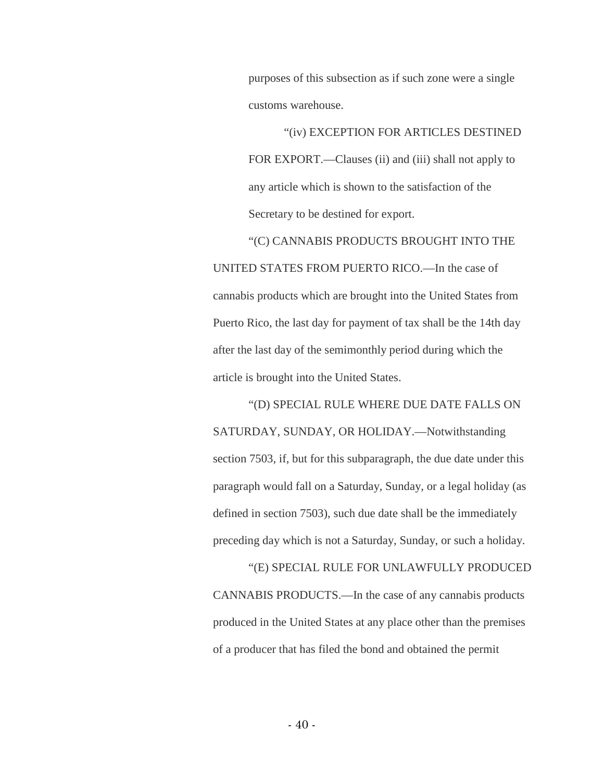purposes of this subsection as if such zone were a single customs warehouse.

"(iv) EXCEPTION FOR ARTICLES DESTINED FOR EXPORT.—Clauses (ii) and (iii) shall not apply to any article which is shown to the satisfaction of the Secretary to be destined for export.

"(C) CANNABIS PRODUCTS BROUGHT INTO THE UNITED STATES FROM PUERTO RICO.—In the case of cannabis products which are brought into the United States from Puerto Rico, the last day for payment of tax shall be the 14th day after the last day of the semimonthly period during which the article is brought into the United States.

"(D) SPECIAL RULE WHERE DUE DATE FALLS ON SATURDAY, SUNDAY, OR HOLIDAY.—Notwithstanding section 7503, if, but for this subparagraph, the due date under this paragraph would fall on a Saturday, Sunday, or a legal holiday (as defined in section 7503), such due date shall be the immediately preceding day which is not a Saturday, Sunday, or such a holiday.

"(E) SPECIAL RULE FOR UNLAWFULLY PRODUCED CANNABIS PRODUCTS.—In the case of any cannabis products produced in the United States at any place other than the premises of a producer that has filed the bond and obtained the permit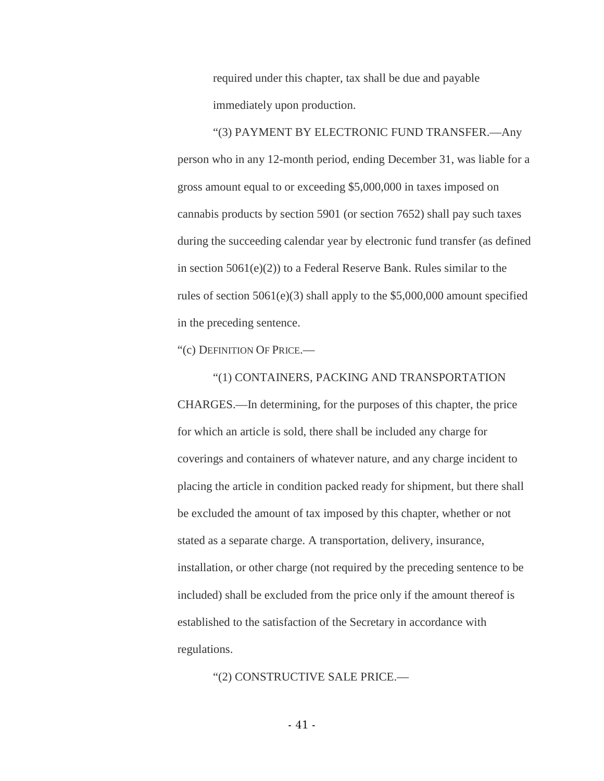required under this chapter, tax shall be due and payable immediately upon production.

"(3) PAYMENT BY ELECTRONIC FUND TRANSFER.—Any person who in any 12-month period, ending December 31, was liable for a gross amount equal to or exceeding \$5,000,000 in taxes imposed on cannabis products by section 5901 (or section 7652) shall pay such taxes during the succeeding calendar year by electronic fund transfer (as defined in section 5061(e)(2)) to a Federal Reserve Bank. Rules similar to the rules of section  $5061(e)(3)$  shall apply to the \$5,000,000 amount specified in the preceding sentence.

"(c) DEFINITION OF PRICE.—

"(1) CONTAINERS, PACKING AND TRANSPORTATION CHARGES.—In determining, for the purposes of this chapter, the price for which an article is sold, there shall be included any charge for coverings and containers of whatever nature, and any charge incident to placing the article in condition packed ready for shipment, but there shall be excluded the amount of tax imposed by this chapter, whether or not stated as a separate charge. A transportation, delivery, insurance, installation, or other charge (not required by the preceding sentence to be included) shall be excluded from the price only if the amount thereof is established to the satisfaction of the Secretary in accordance with regulations.

"(2) CONSTRUCTIVE SALE PRICE.—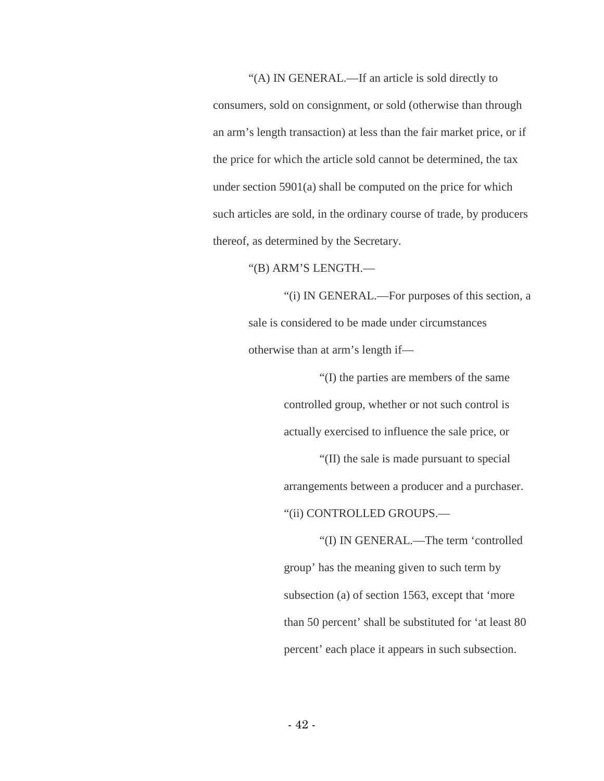"(A) IN GENERAL.—If an article is sold directly to consumers, sold on consignment, or sold (otherwise than through an arm's length transaction) at less than the fair market price, or if the price for which the article sold cannot be determined, the tax under section 5901(a) shall be computed on the price for which such articles are sold, in the ordinary course of trade, by producers thereof, as determined by the Secretary.

"(B) ARM'S LENGTH.—

"(i) IN GENERAL.—For purposes of this section, a sale is considered to be made under circumstances otherwise than at arm's length if—

> "(I) the parties are members of the same controlled group, whether or not such control is actually exercised to influence the sale price, or

"(II) the sale is made pursuant to special arrangements between a producer and a purchaser. "(ii) CONTROLLED GROUPS.—

"(I) IN GENERAL.—The term 'controlled group' has the meaning given to such term by subsection (a) of section 1563, except that 'more than 50 percent' shall be substituted for 'at least 80 percent' each place it appears in such subsection.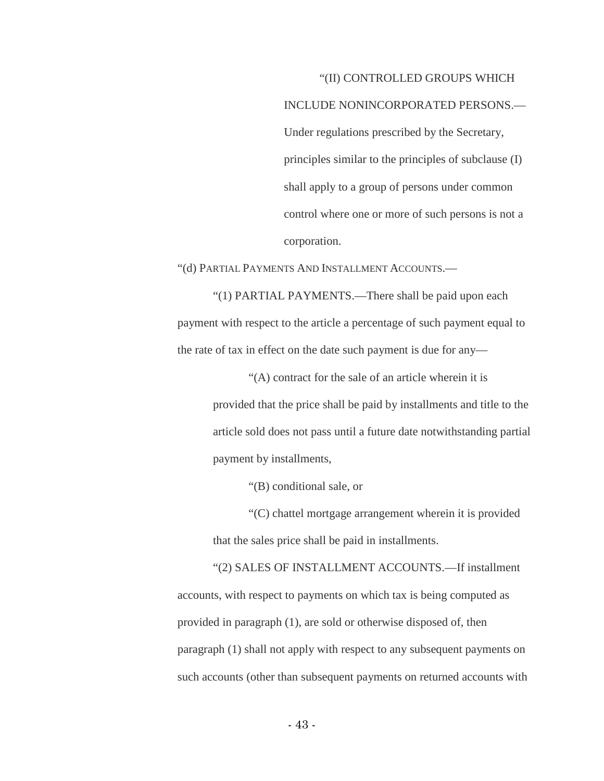# "(II) CONTROLLED GROUPS WHICH

INCLUDE NONINCORPORATED PERSONS.— Under regulations prescribed by the Secretary, principles similar to the principles of subclause (I) shall apply to a group of persons under common control where one or more of such persons is not a corporation.

"(d) PARTIAL PAYMENTS AND INSTALLMENT ACCOUNTS.—

"(1) PARTIAL PAYMENTS.—There shall be paid upon each payment with respect to the article a percentage of such payment equal to the rate of tax in effect on the date such payment is due for any—

> "(A) contract for the sale of an article wherein it is provided that the price shall be paid by installments and title to the article sold does not pass until a future date notwithstanding partial payment by installments,

> > "(B) conditional sale, or

"(C) chattel mortgage arrangement wherein it is provided that the sales price shall be paid in installments.

"(2) SALES OF INSTALLMENT ACCOUNTS.—If installment accounts, with respect to payments on which tax is being computed as provided in paragraph (1), are sold or otherwise disposed of, then paragraph (1) shall not apply with respect to any subsequent payments on such accounts (other than subsequent payments on returned accounts with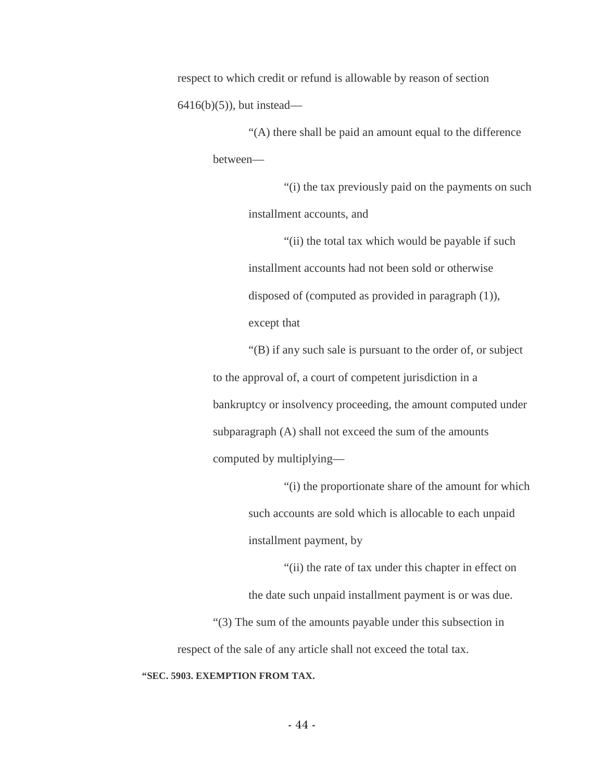respect to which credit or refund is allowable by reason of section  $6416(b)(5)$ , but instead—

> "(A) there shall be paid an amount equal to the difference between—

"(i) the tax previously paid on the payments on such installment accounts, and

"(ii) the total tax which would be payable if such installment accounts had not been sold or otherwise disposed of (computed as provided in paragraph (1)), except that

"(B) if any such sale is pursuant to the order of, or subject to the approval of, a court of competent jurisdiction in a bankruptcy or insolvency proceeding, the amount computed under subparagraph (A) shall not exceed the sum of the amounts computed by multiplying—

> "(i) the proportionate share of the amount for which such accounts are sold which is allocable to each unpaid installment payment, by

"(ii) the rate of tax under this chapter in effect on the date such unpaid installment payment is or was due. "(3) The sum of the amounts payable under this subsection in respect of the sale of any article shall not exceed the total tax.

**"SEC. 5903. EXEMPTION FROM TAX.**

- 44 -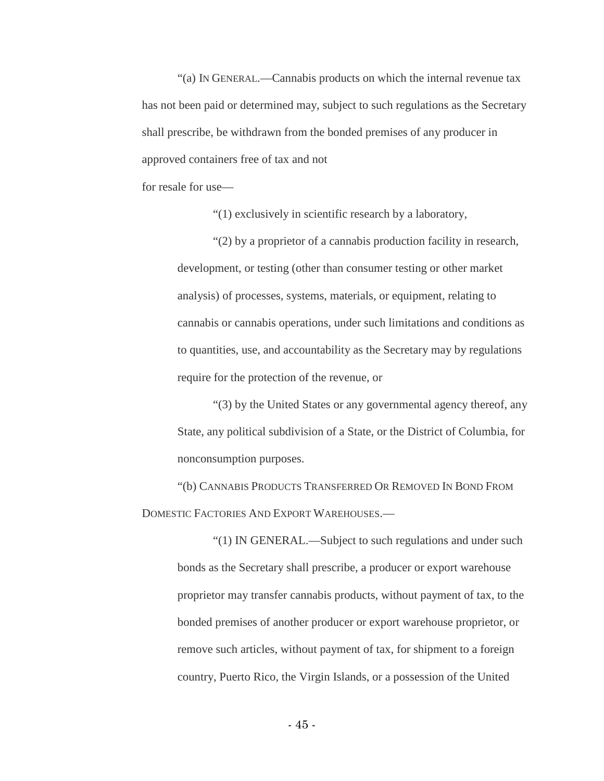"(a) IN GENERAL.—Cannabis products on which the internal revenue tax has not been paid or determined may, subject to such regulations as the Secretary shall prescribe, be withdrawn from the bonded premises of any producer in approved containers free of tax and not

for resale for use—

"(1) exclusively in scientific research by a laboratory,

"(2) by a proprietor of a cannabis production facility in research, development, or testing (other than consumer testing or other market analysis) of processes, systems, materials, or equipment, relating to cannabis or cannabis operations, under such limitations and conditions as to quantities, use, and accountability as the Secretary may by regulations require for the protection of the revenue, or

"(3) by the United States or any governmental agency thereof, any State, any political subdivision of a State, or the District of Columbia, for nonconsumption purposes.

"(b) CANNABIS PRODUCTS TRANSFERRED OR REMOVED IN BOND FROM DOMESTIC FACTORIES AND EXPORT WAREHOUSES.—

"(1) IN GENERAL.—Subject to such regulations and under such bonds as the Secretary shall prescribe, a producer or export warehouse proprietor may transfer cannabis products, without payment of tax, to the bonded premises of another producer or export warehouse proprietor, or remove such articles, without payment of tax, for shipment to a foreign country, Puerto Rico, the Virgin Islands, or a possession of the United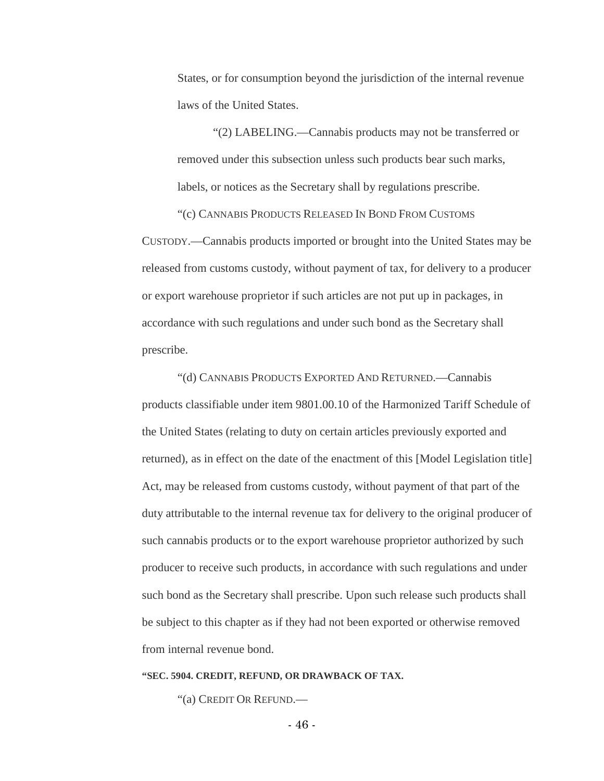States, or for consumption beyond the jurisdiction of the internal revenue laws of the United States.

"(2) LABELING.—Cannabis products may not be transferred or removed under this subsection unless such products bear such marks, labels, or notices as the Secretary shall by regulations prescribe.

"(c) CANNABIS PRODUCTS RELEASED IN BOND FROM CUSTOMS CUSTODY.—Cannabis products imported or brought into the United States may be released from customs custody, without payment of tax, for delivery to a producer or export warehouse proprietor if such articles are not put up in packages, in accordance with such regulations and under such bond as the Secretary shall prescribe.

"(d) CANNABIS PRODUCTS EXPORTED AND RETURNED.—Cannabis products classifiable under item 9801.00.10 of the Harmonized Tariff Schedule of the United States (relating to duty on certain articles previously exported and returned), as in effect on the date of the enactment of this [Model Legislation title] Act, may be released from customs custody, without payment of that part of the duty attributable to the internal revenue tax for delivery to the original producer of such cannabis products or to the export warehouse proprietor authorized by such producer to receive such products, in accordance with such regulations and under such bond as the Secretary shall prescribe. Upon such release such products shall be subject to this chapter as if they had not been exported or otherwise removed from internal revenue bond.

#### **"SEC. 5904. CREDIT, REFUND, OR DRAWBACK OF TAX.**

"(a) CREDIT OR REFUND.—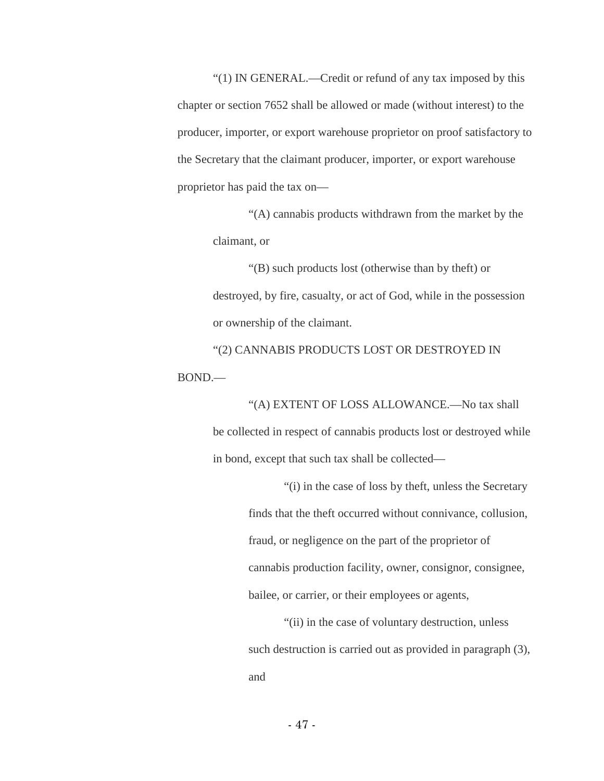"(1) IN GENERAL.—Credit or refund of any tax imposed by this chapter or section 7652 shall be allowed or made (without interest) to the producer, importer, or export warehouse proprietor on proof satisfactory to the Secretary that the claimant producer, importer, or export warehouse proprietor has paid the tax on—

> "(A) cannabis products withdrawn from the market by the claimant, or

> "(B) such products lost (otherwise than by theft) or destroyed, by fire, casualty, or act of God, while in the possession or ownership of the claimant.

"(2) CANNABIS PRODUCTS LOST OR DESTROYED IN BOND.—

> "(A) EXTENT OF LOSS ALLOWANCE.—No tax shall be collected in respect of cannabis products lost or destroyed while in bond, except that such tax shall be collected—

> > "(i) in the case of loss by theft, unless the Secretary finds that the theft occurred without connivance, collusion, fraud, or negligence on the part of the proprietor of cannabis production facility, owner, consignor, consignee, bailee, or carrier, or their employees or agents,

> > "(ii) in the case of voluntary destruction, unless such destruction is carried out as provided in paragraph (3), and

> > > - 47 -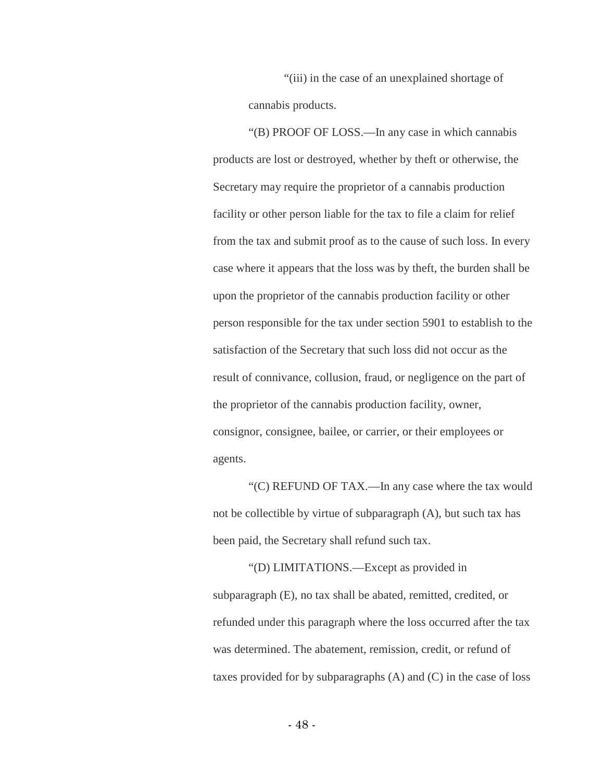"(iii) in the case of an unexplained shortage of cannabis products.

"(B) PROOF OF LOSS.—In any case in which cannabis products are lost or destroyed, whether by theft or otherwise, the Secretary may require the proprietor of a cannabis production facility or other person liable for the tax to file a claim for relief from the tax and submit proof as to the cause of such loss. In every case where it appears that the loss was by theft, the burden shall be upon the proprietor of the cannabis production facility or other person responsible for the tax under section 5901 to establish to the satisfaction of the Secretary that such loss did not occur as the result of connivance, collusion, fraud, or negligence on the part of the proprietor of the cannabis production facility, owner, consignor, consignee, bailee, or carrier, or their employees or agents.

"(C) REFUND OF TAX.—In any case where the tax would not be collectible by virtue of subparagraph (A), but such tax has been paid, the Secretary shall refund such tax.

"(D) LIMITATIONS.—Except as provided in subparagraph (E), no tax shall be abated, remitted, credited, or refunded under this paragraph where the loss occurred after the tax was determined. The abatement, remission, credit, or refund of taxes provided for by subparagraphs (A) and (C) in the case of loss

- 48 -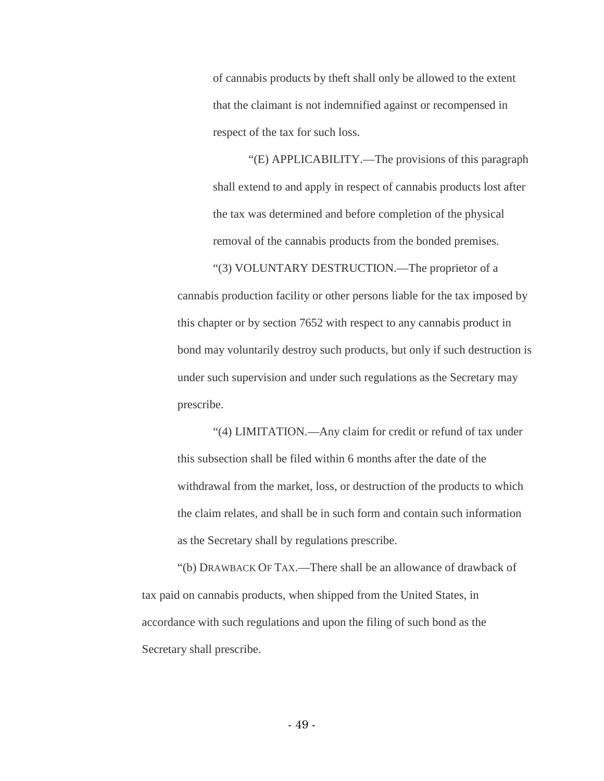of cannabis products by theft shall only be allowed to the extent that the claimant is not indemnified against or recompensed in respect of the tax for such loss.

"(E) APPLICABILITY.—The provisions of this paragraph shall extend to and apply in respect of cannabis products lost after the tax was determined and before completion of the physical removal of the cannabis products from the bonded premises.

"(3) VOLUNTARY DESTRUCTION.—The proprietor of a cannabis production facility or other persons liable for the tax imposed by this chapter or by section 7652 with respect to any cannabis product in bond may voluntarily destroy such products, but only if such destruction is under such supervision and under such regulations as the Secretary may prescribe.

"(4) LIMITATION.—Any claim for credit or refund of tax under this subsection shall be filed within 6 months after the date of the withdrawal from the market, loss, or destruction of the products to which the claim relates, and shall be in such form and contain such information as the Secretary shall by regulations prescribe.

"(b) DRAWBACK OF TAX.—There shall be an allowance of drawback of tax paid on cannabis products, when shipped from the United States, in accordance with such regulations and upon the filing of such bond as the Secretary shall prescribe.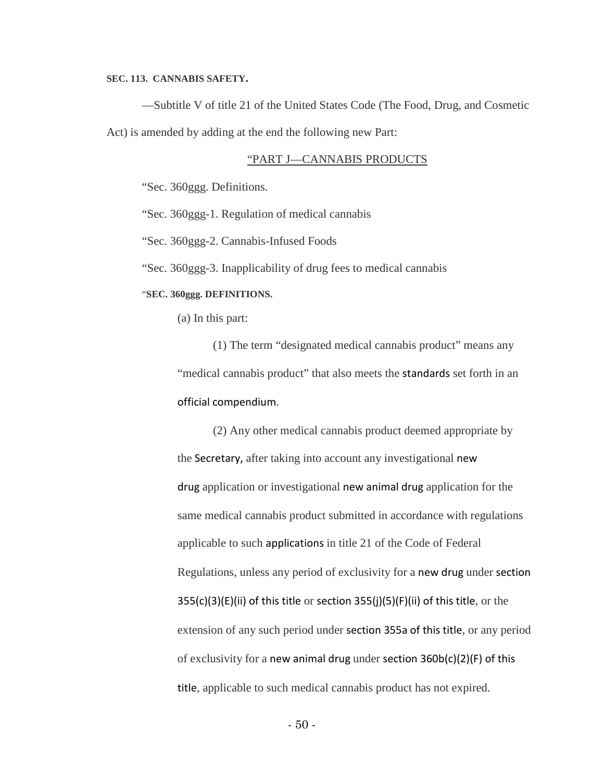#### **SEC. 113. CANNABIS SAFETY.**

—Subtitle V of title 21 of the United States Code (The Food, Drug, and Cosmetic Act) is amended by adding at the end the following new Part:

# "PART J—CANNABIS PRODUCTS

"Sec. 360ggg. Definitions.

"Sec. 360ggg-1. Regulation of medical cannabis

"Sec. 360ggg-2. Cannabis-Infused Foods

"Sec. 360ggg-3. Inapplicability of drug fees to medical cannabis

#### "**SEC. 360ggg. DEFINITIONS.**

(a) In this part:

(1) The term "designated medical cannabis product" means any "medical cannabis product" that also meets the standards set forth in an official compendium.

(2) Any other medical cannabis product deemed appropriate by the Secretary, after taking into account any investigational new drug application or investigational new animal drug application for the same medical cannabis product submitted in accordance with regulations applicable to such applications in title 21 of the Code of Federal Regulations, unless any period of exclusivity for a new drug under section 355(c)(3)(E)(ii) of this title or section 355(j)(5)(F)(ii) of this title, or the extension of any such period under section 355a of this title, or any period of exclusivity for a new animal drug under section 360b(c)(2)(F) of this title, applicable to such medical cannabis product has not expired.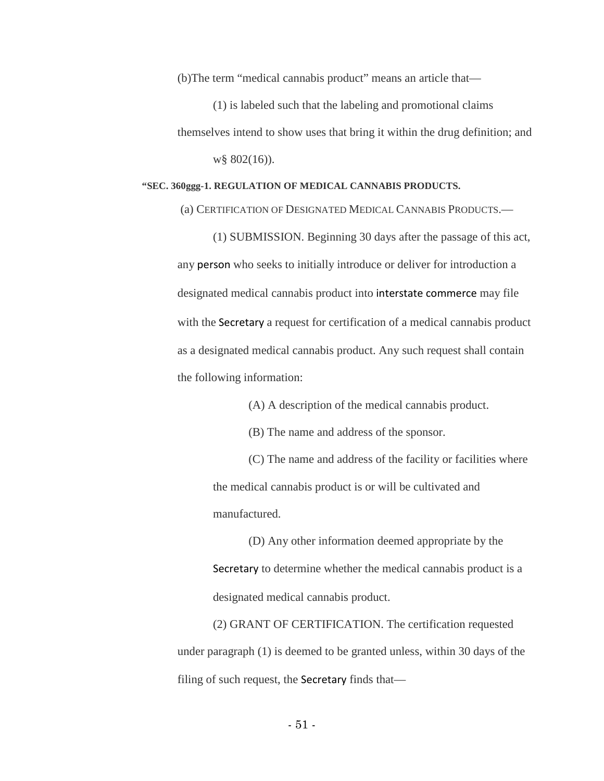(b)The term "medical cannabis product" means an article that—

(1) is labeled such that the labeling and promotional claims themselves intend to show uses that bring it within the drug definition; and w§ 802(16)).

#### **"SEC. 360ggg-1. REGULATION OF MEDICAL CANNABIS PRODUCTS.**

(a) CERTIFICATION OF DESIGNATED MEDICAL CANNABIS PRODUCTS.—

(1) SUBMISSION. Beginning 30 days after the passage of this act, any person who seeks to initially introduce or deliver for introduction a designated medical cannabis product into interstate commerce may file with the Secretary a request for certification of a medical cannabis product as a designated medical cannabis product. Any such request shall contain the following information:

(A) A description of the medical cannabis product.

(B) The name and address of the sponsor.

(C) The name and address of the facility or facilities where the medical cannabis product is or will be cultivated and manufactured.

(D) Any other information deemed appropriate by the Secretary to determine whether the medical cannabis product is a designated medical cannabis product.

(2) GRANT OF CERTIFICATION. The certification requested under paragraph (1) is deemed to be granted unless, within 30 days of the filing of such request, the Secretary finds that—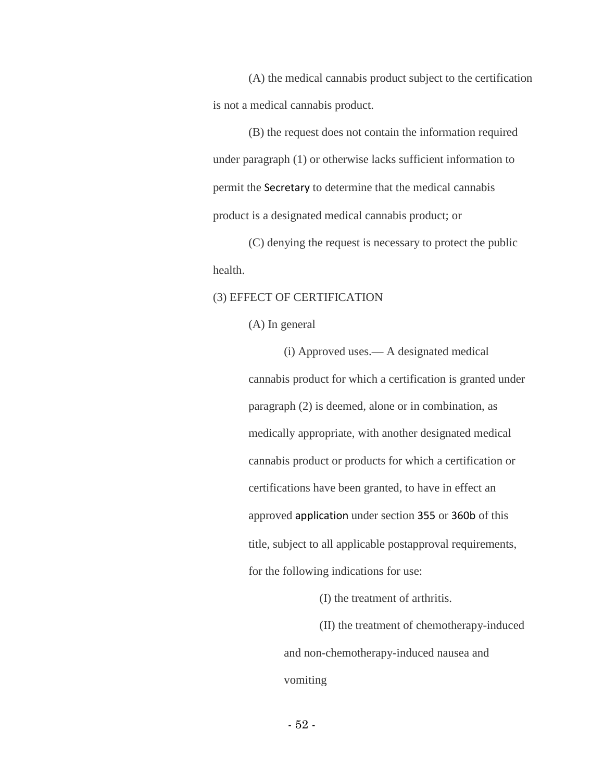(A) the medical cannabis product subject to the certification is not a medical cannabis product.

(B) the request does not contain the information required under paragraph (1) or otherwise lacks sufficient information to permit the Secretary to determine that the medical cannabis product is a designated medical cannabis product; or

(C) denying the request is necessary to protect the public health.

# (3) EFFECT OF CERTIFICATION

(A) In general

(i) Approved uses.— A designated medical cannabis product for which a certification is granted under paragraph (2) is deemed, alone or in combination, as medically appropriate, with another designated medical cannabis product or products for which a certification or certifications have been granted, to have in effect an approved application under section 355 or 360b of this title, subject to all applicable postapproval requirements, for the following indications for use:

(I) the treatment of arthritis.

(II) the treatment of chemotherapy-induced and non-chemotherapy-induced nausea and vomiting

- 52 -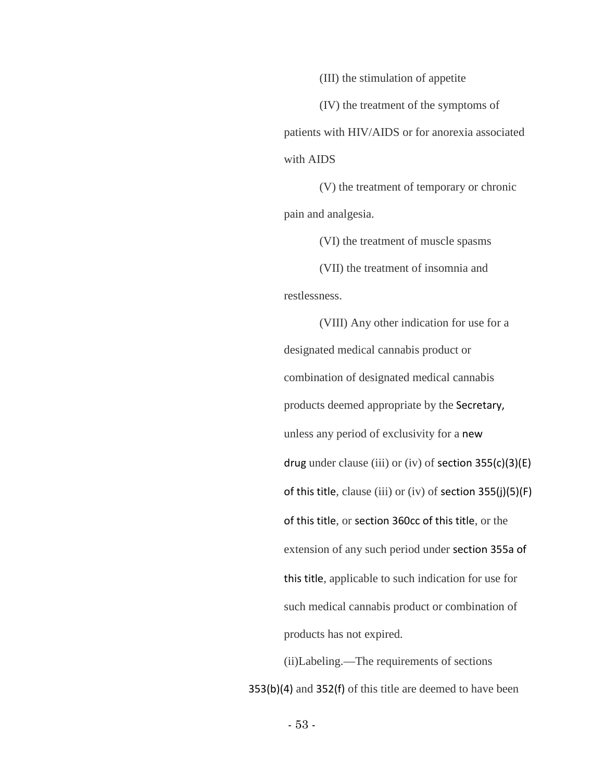(III) the stimulation of appetite

(IV) the treatment of the symptoms of patients with HIV/AIDS or for anorexia associated with AIDS

(V) the treatment of temporary or chronic pain and analgesia.

(VI) the treatment of muscle spasms (VII) the treatment of insomnia and restlessness.

(VIII) Any other indication for use for a designated medical cannabis product or combination of designated medical cannabis products deemed appropriate by the Secretary, unless any period of exclusivity for a new drug under clause (iii) or (iv) of section  $355(c)(3)(E)$ of this title, clause (iii) or (iv) of section 355(j)(5)(F) of this title, or section 360cc of this title, or the extension of any such period under section 355a of this title, applicable to such indication for use for such medical cannabis product or combination of products has not expired.

(ii)Labeling.—The requirements of sections 353(b)(4) and 352(f) of this title are deemed to have been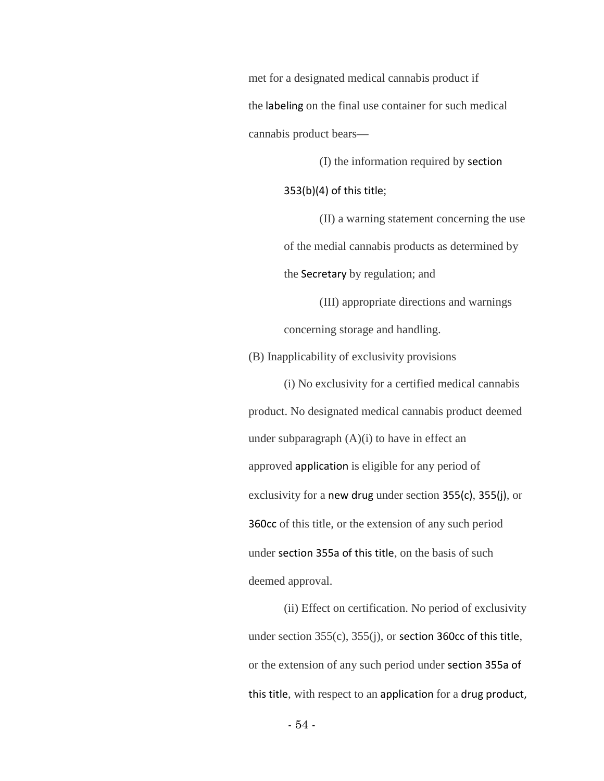met for a designated medical cannabis product if the labeling on the final use container for such medical cannabis product bears—

(I) the information required by section

353(b)(4) of this title;

(II) a warning statement concerning the use of the medial cannabis products as determined by the Secretary by regulation; and

(III) appropriate directions and warnings concerning storage and handling.

(B) Inapplicability of exclusivity provisions

(i) No exclusivity for a certified medical cannabis product. No designated medical cannabis product deemed under subparagraph (A)(i) to have in effect an approved application is eligible for any period of exclusivity for a new drug under section 355(c), 355(j), or 360cc of this title, or the extension of any such period under section 355a of this title, on the basis of such deemed approval.

(ii) Effect on certification. No period of exclusivity under section 355(c), 355(j), or section 360cc of this title, or the extension of any such period under section 355a of this title, with respect to an application for a drug product,

- 54 -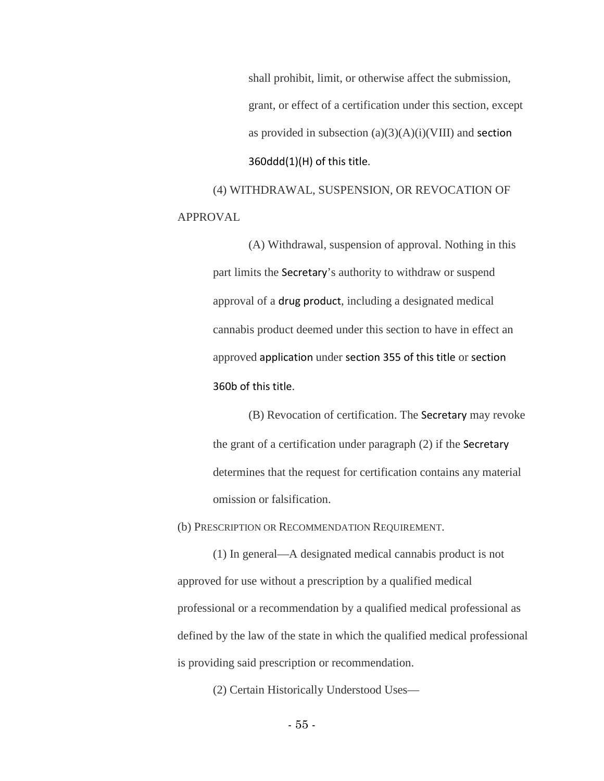shall prohibit, limit, or otherwise affect the submission, grant, or effect of a certification under this section, except as provided in subsection  $(a)(3)(A)(i)(VIII)$  and section 360ddd(1)(H) of this title.

(4) WITHDRAWAL, SUSPENSION, OR REVOCATION OF APPROVAL

> (A) Withdrawal, suspension of approval. Nothing in this part limits the Secretary's authority to withdraw or suspend approval of a drug product, including a designated medical cannabis product deemed under this section to have in effect an approved application under section 355 of this title or section 360b of this title.

(B) Revocation of certification. The Secretary may revoke the grant of a certification under paragraph (2) if the Secretary determines that the request for certification contains any material omission or falsification.

(b) PRESCRIPTION OR RECOMMENDATION REQUIREMENT.

(1) In general—A designated medical cannabis product is not approved for use without a prescription by a qualified medical professional or a recommendation by a qualified medical professional as defined by the law of the state in which the qualified medical professional is providing said prescription or recommendation.

(2) Certain Historically Understood Uses—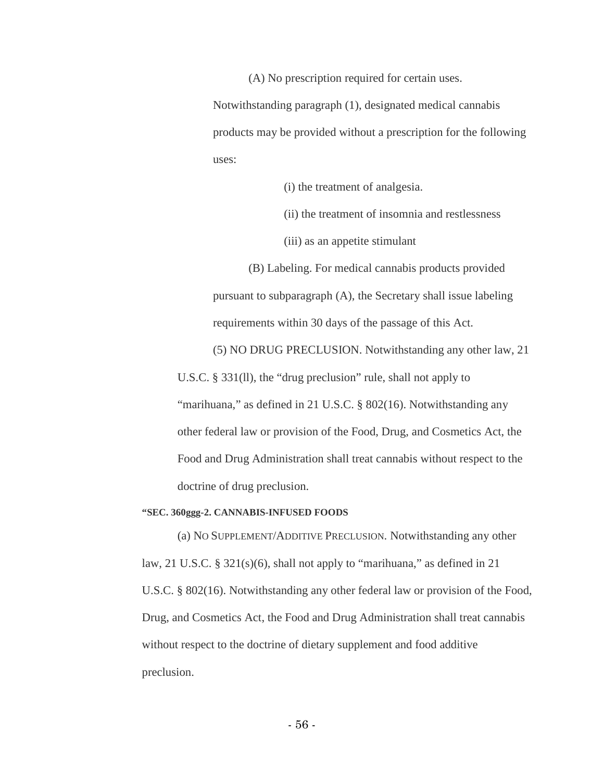(A) No prescription required for certain uses.

Notwithstanding paragraph (1), designated medical cannabis products may be provided without a prescription for the following uses:

(i) the treatment of analgesia.

(ii) the treatment of insomnia and restlessness

(iii) as an appetite stimulant

(B) Labeling. For medical cannabis products provided pursuant to subparagraph (A), the Secretary shall issue labeling requirements within 30 days of the passage of this Act.

(5) NO DRUG PRECLUSION. Notwithstanding any other law, 21

U.S.C. § 331(ll), the "drug preclusion" rule, shall not apply to

"marihuana," as defined in 21 U.S.C. § 802(16). Notwithstanding any other federal law or provision of the Food, Drug, and Cosmetics Act, the Food and Drug Administration shall treat cannabis without respect to the doctrine of drug preclusion.

#### **"SEC. 360ggg-2. CANNABIS-INFUSED FOODS**

(a) NO SUPPLEMENT/ADDITIVE PRECLUSION. Notwithstanding any other law, 21 U.S.C. § 321(s)(6), shall not apply to "marihuana," as defined in 21 U.S.C. § 802(16). Notwithstanding any other federal law or provision of the Food, Drug, and Cosmetics Act, the Food and Drug Administration shall treat cannabis without respect to the doctrine of dietary supplement and food additive preclusion.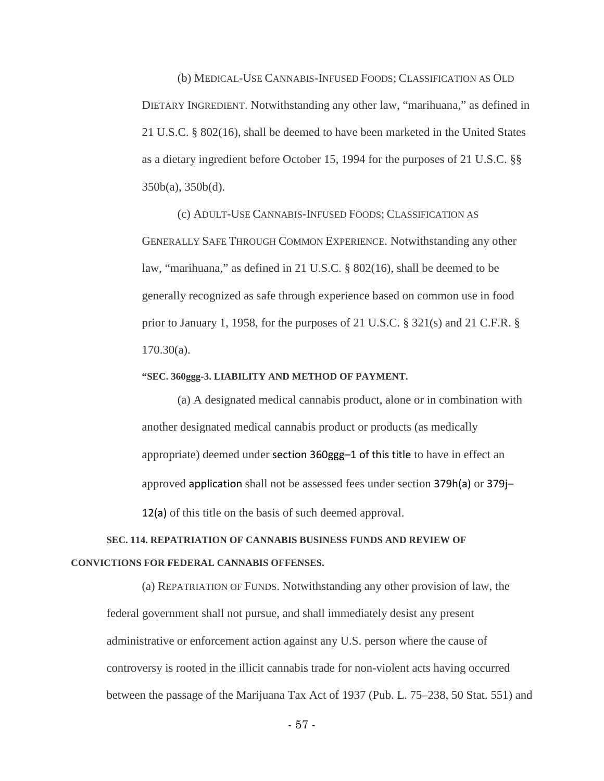(b) MEDICAL-USE CANNABIS-INFUSED FOODS; CLASSIFICATION AS OLD DIETARY INGREDIENT. Notwithstanding any other law, "marihuana," as defined in 21 U.S.C. § 802(16), shall be deemed to have been marketed in the United States as a dietary ingredient before October 15, 1994 for the purposes of 21 U.S.C. §§ 350b(a), 350b(d).

(c) ADULT-USE CANNABIS-INFUSED FOODS; CLASSIFICATION AS GENERALLY SAFE THROUGH COMMON EXPERIENCE. Notwithstanding any other law, "marihuana," as defined in 21 U.S.C. § 802(16), shall be deemed to be generally recognized as safe through experience based on common use in food prior to January 1, 1958, for the purposes of 21 U.S.C. § 321(s) and 21 C.F.R. § 170.30(a).

#### **"SEC. 360ggg-3. LIABILITY AND METHOD OF PAYMENT.**

(a) A designated medical cannabis product, alone or in combination with another designated medical cannabis product or products (as medically appropriate) deemed under section 360ggg–1 of this title to have in effect an approved application shall not be assessed fees under section 379h(a) or 379j– 12(a) of this title on the basis of such deemed approval.

# **SEC. 114. REPATRIATION OF CANNABIS BUSINESS FUNDS AND REVIEW OF CONVICTIONS FOR FEDERAL CANNABIS OFFENSES.**

(a) REPATRIATION OF FUNDS. Notwithstanding any other provision of law, the federal government shall not pursue, and shall immediately desist any present administrative or enforcement action against any U.S. person where the cause of controversy is rooted in the illicit cannabis trade for non-violent acts having occurred between the passage of the Marijuana Tax Act of 1937 (Pub. L. 75–238, 50 Stat. 551) and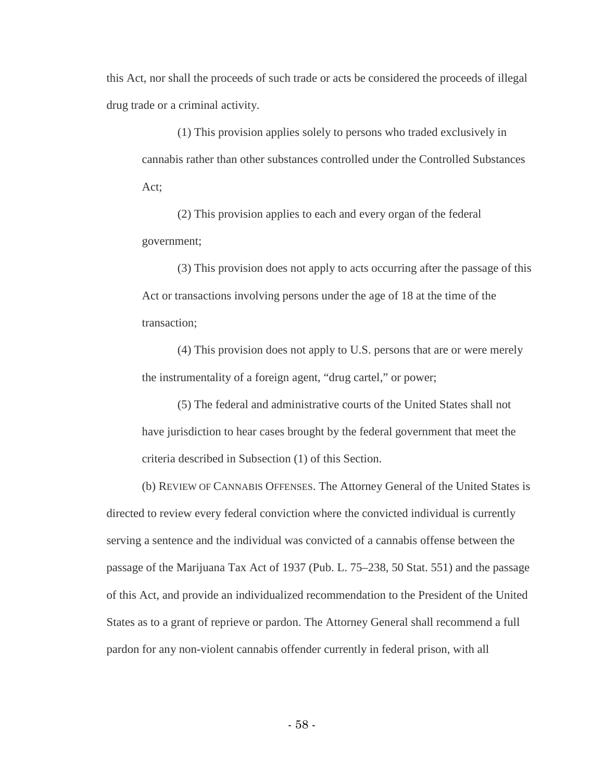this Act, nor shall the proceeds of such trade or acts be considered the proceeds of illegal drug trade or a criminal activity.

(1) This provision applies solely to persons who traded exclusively in cannabis rather than other substances controlled under the Controlled Substances Act;

(2) This provision applies to each and every organ of the federal government;

(3) This provision does not apply to acts occurring after the passage of this Act or transactions involving persons under the age of 18 at the time of the transaction;

(4) This provision does not apply to U.S. persons that are or were merely the instrumentality of a foreign agent, "drug cartel," or power;

(5) The federal and administrative courts of the United States shall not have jurisdiction to hear cases brought by the federal government that meet the criteria described in Subsection (1) of this Section.

(b) REVIEW OF CANNABIS OFFENSES. The Attorney General of the United States is directed to review every federal conviction where the convicted individual is currently serving a sentence and the individual was convicted of a cannabis offense between the passage of the Marijuana Tax Act of 1937 (Pub. L. 75–238, 50 Stat. 551) and the passage of this Act, and provide an individualized recommendation to the President of the United States as to a grant of reprieve or pardon. The Attorney General shall recommend a full pardon for any non-violent cannabis offender currently in federal prison, with all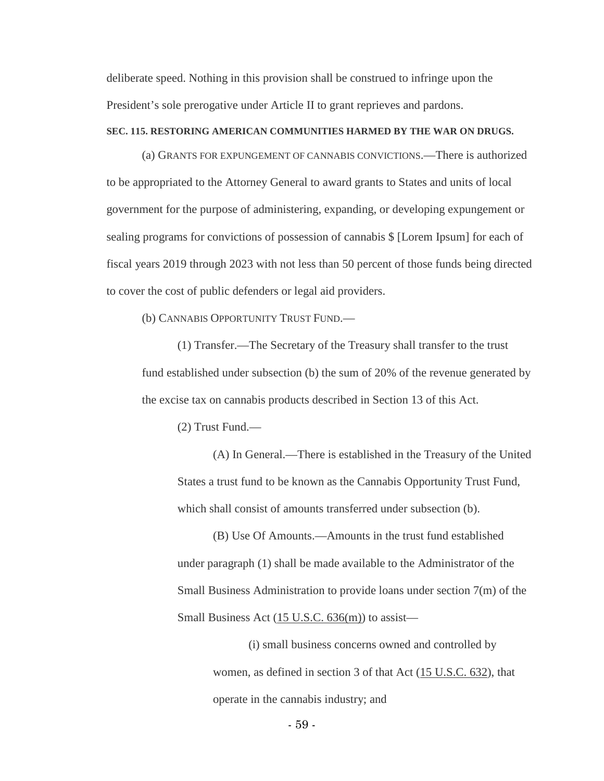deliberate speed. Nothing in this provision shall be construed to infringe upon the President's sole prerogative under Article II to grant reprieves and pardons.

#### **SEC. 115. RESTORING AMERICAN COMMUNITIES HARMED BY THE WAR ON DRUGS.**

(a) GRANTS FOR EXPUNGEMENT OF CANNABIS CONVICTIONS.—There is authorized to be appropriated to the Attorney General to award grants to States and units of local government for the purpose of administering, expanding, or developing expungement or sealing programs for convictions of possession of cannabis \$ [Lorem Ipsum] for each of fiscal years 2019 through 2023 with not less than 50 percent of those funds being directed to cover the cost of public defenders or legal aid providers.

(b) CANNABIS OPPORTUNITY TRUST FUND.—

(1) Transfer.—The Secretary of the Treasury shall transfer to the trust fund established under subsection (b) the sum of 20% of the revenue generated by the excise tax on cannabis products described in Section 13 of this Act.

(2) Trust Fund.—

(A) In General.—There is established in the Treasury of the United States a trust fund to be known as the Cannabis Opportunity Trust Fund, which shall consist of amounts transferred under subsection (b).

(B) Use Of Amounts.—Amounts in the trust fund established under paragraph (1) shall be made available to the Administrator of the Small Business Administration to provide loans under section 7(m) of the Small Business Act  $(15 \text{ U.S.C. } 636 \text{ (m)})$  to assist—

> (i) small business concerns owned and controlled by women, as defined in section 3 of that Act (15 U.S.C. 632), that operate in the cannabis industry; and

> > - 59 -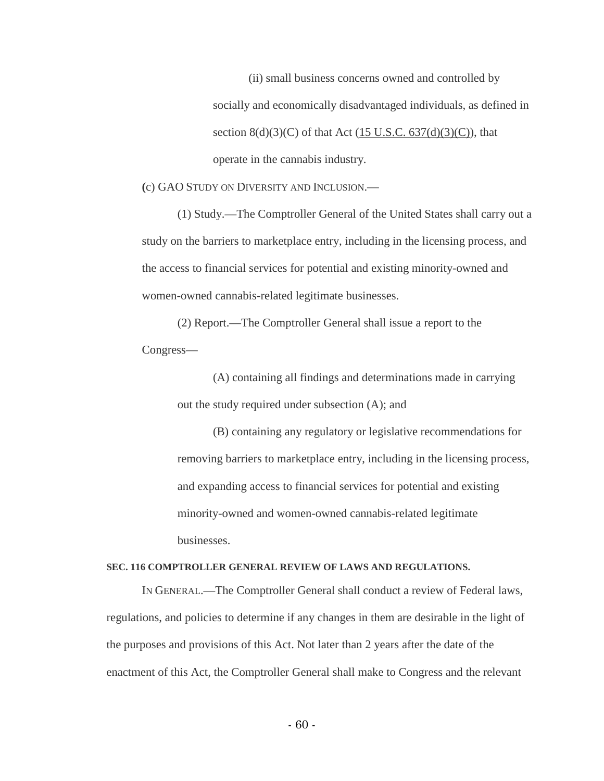(ii) small business concerns owned and controlled by socially and economically disadvantaged individuals, as defined in section  $8(d)(3)(C)$  of that Act (15 U.S.C. 637(d)(3)(C)), that operate in the cannabis industry.

**(**c) GAO STUDY ON DIVERSITY AND INCLUSION.—

(1) Study.—The Comptroller General of the United States shall carry out a study on the barriers to marketplace entry, including in the licensing process, and the access to financial services for potential and existing minority-owned and women-owned cannabis-related legitimate businesses.

(2) Report.—The Comptroller General shall issue a report to the Congress—

> (A) containing all findings and determinations made in carrying out the study required under subsection (A); and

(B) containing any regulatory or legislative recommendations for removing barriers to marketplace entry, including in the licensing process, and expanding access to financial services for potential and existing minority-owned and women-owned cannabis-related legitimate businesses.

# **SEC. 116 COMPTROLLER GENERAL REVIEW OF LAWS AND REGULATIONS.**

IN GENERAL.—The Comptroller General shall conduct a review of Federal laws, regulations, and policies to determine if any changes in them are desirable in the light of the purposes and provisions of this Act. Not later than 2 years after the date of the enactment of this Act, the Comptroller General shall make to Congress and the relevant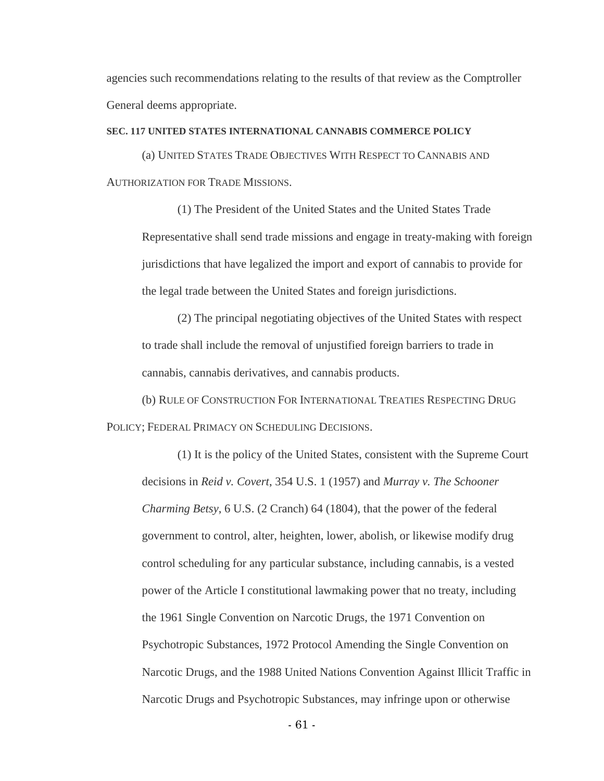agencies such recommendations relating to the results of that review as the Comptroller General deems appropriate.

## **SEC. 117 UNITED STATES INTERNATIONAL CANNABIS COMMERCE POLICY**

(a) UNITED STATES TRADE OBJECTIVES WITH RESPECT TO CANNABIS AND AUTHORIZATION FOR TRADE MISSIONS.

(1) The President of the United States and the United States Trade Representative shall send trade missions and engage in treaty-making with foreign jurisdictions that have legalized the import and export of cannabis to provide for the legal trade between the United States and foreign jurisdictions.

(2) The principal negotiating objectives of the United States with respect to trade shall include the removal of unjustified foreign barriers to trade in cannabis, cannabis derivatives, and cannabis products.

(b) RULE OF CONSTRUCTION FOR INTERNATIONAL TREATIES RESPECTING DRUG POLICY; FEDERAL PRIMACY ON SCHEDULING DECISIONS.

(1) It is the policy of the United States, consistent with the Supreme Court decisions in *Reid v. Covert*, 354 U.S. 1 (1957) and *Murray v. The Schooner Charming Betsy*, 6 U.S. (2 Cranch) 64 (1804), that the power of the federal government to control, alter, heighten, lower, abolish, or likewise modify drug control scheduling for any particular substance, including cannabis, is a vested power of the Article I constitutional lawmaking power that no treaty, including the 1961 Single Convention on Narcotic Drugs, the 1971 Convention on Psychotropic Substances, 1972 Protocol Amending the Single Convention on Narcotic Drugs, and the 1988 United Nations Convention Against Illicit Traffic in Narcotic Drugs and Psychotropic Substances, may infringe upon or otherwise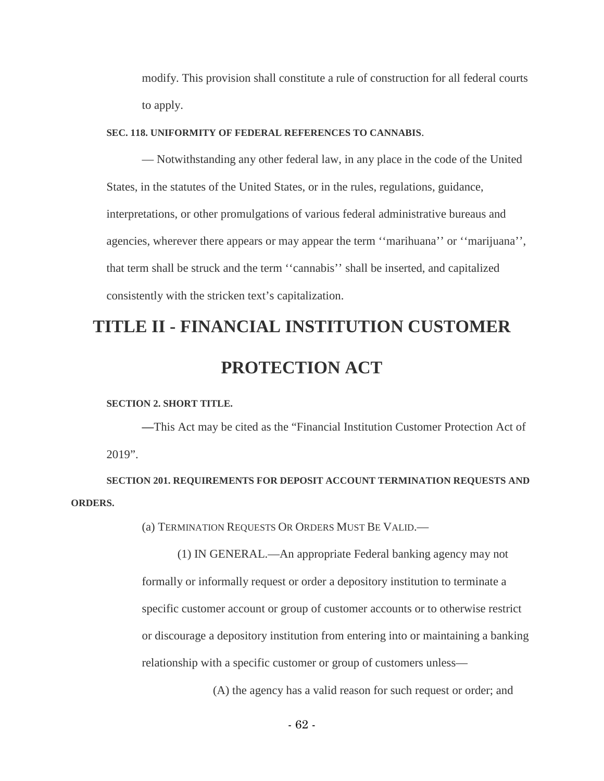modify. This provision shall constitute a rule of construction for all federal courts to apply.

#### **SEC. 118. UNIFORMITY OF FEDERAL REFERENCES TO CANNABIS**.

— Notwithstanding any other federal law, in any place in the code of the United States, in the statutes of the United States, or in the rules, regulations, guidance, interpretations, or other promulgations of various federal administrative bureaus and agencies, wherever there appears or may appear the term ''marihuana'' or ''marijuana'', that term shall be struck and the term ''cannabis'' shall be inserted, and capitalized consistently with the stricken text's capitalization.

# **TITLE II - FINANCIAL INSTITUTION CUSTOMER PROTECTION ACT**

#### **SECTION 2. SHORT TITLE.**

**—**This Act may be cited as the "Financial Institution Customer Protection Act of 2019".

**SECTION 201. REQUIREMENTS FOR DEPOSIT ACCOUNT TERMINATION REQUESTS AND ORDERS.**

(a) TERMINATION REQUESTS OR ORDERS MUST BE VALID.—

(1) IN GENERAL.—An appropriate Federal banking agency may not formally or informally request or order a depository institution to terminate a specific customer account or group of customer accounts or to otherwise restrict or discourage a depository institution from entering into or maintaining a banking relationship with a specific customer or group of customers unless—

(A) the agency has a valid reason for such request or order; and

- 62 -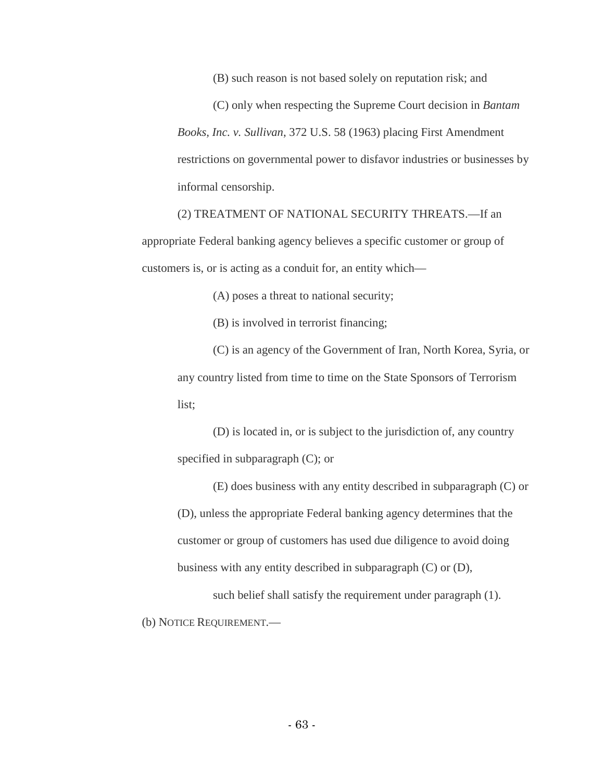(B) such reason is not based solely on reputation risk; and

(C) only when respecting the Supreme Court decision in *Bantam Books, Inc. v. Sullivan*, 372 U.S. 58 (1963) placing First Amendment restrictions on governmental power to disfavor industries or businesses by informal censorship.

(2) TREATMENT OF NATIONAL SECURITY THREATS.—If an appropriate Federal banking agency believes a specific customer or group of customers is, or is acting as a conduit for, an entity which—

(A) poses a threat to national security;

(B) is involved in terrorist financing;

(C) is an agency of the Government of Iran, North Korea, Syria, or any country listed from time to time on the State Sponsors of Terrorism list;

(D) is located in, or is subject to the jurisdiction of, any country specified in subparagraph (C); or

(E) does business with any entity described in subparagraph (C) or (D), unless the appropriate Federal banking agency determines that the customer or group of customers has used due diligence to avoid doing business with any entity described in subparagraph (C) or (D),

such belief shall satisfy the requirement under paragraph  $(1)$ . (b) NOTICE REQUIREMENT.—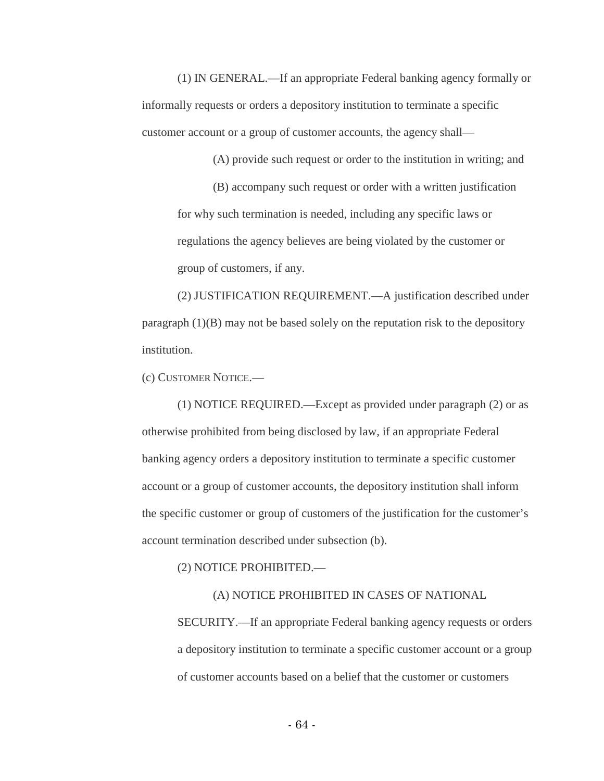(1) IN GENERAL.—If an appropriate Federal banking agency formally or informally requests or orders a depository institution to terminate a specific customer account or a group of customer accounts, the agency shall—

(A) provide such request or order to the institution in writing; and

(B) accompany such request or order with a written justification for why such termination is needed, including any specific laws or regulations the agency believes are being violated by the customer or group of customers, if any.

(2) JUSTIFICATION REQUIREMENT.—A justification described under paragraph (1)(B) may not be based solely on the reputation risk to the depository institution.

(c) CUSTOMER NOTICE.—

(1) NOTICE REQUIRED.—Except as provided under paragraph (2) or as otherwise prohibited from being disclosed by law, if an appropriate Federal banking agency orders a depository institution to terminate a specific customer account or a group of customer accounts, the depository institution shall inform the specific customer or group of customers of the justification for the customer's account termination described under subsection (b).

(2) NOTICE PROHIBITED.—

## (A) NOTICE PROHIBITED IN CASES OF NATIONAL

SECURITY.—If an appropriate Federal banking agency requests or orders a depository institution to terminate a specific customer account or a group of customer accounts based on a belief that the customer or customers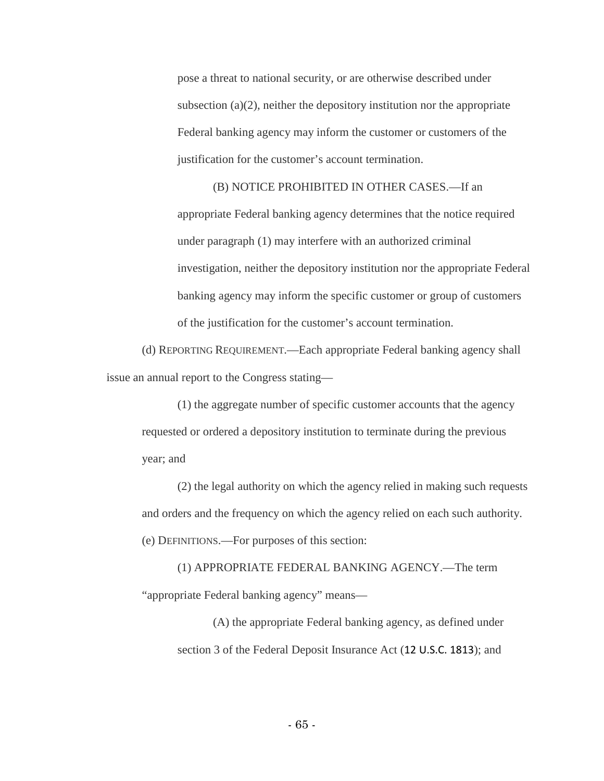pose a threat to national security, or are otherwise described under subsection (a)(2), neither the depository institution nor the appropriate Federal banking agency may inform the customer or customers of the justification for the customer's account termination.

(B) NOTICE PROHIBITED IN OTHER CASES.—If an appropriate Federal banking agency determines that the notice required under paragraph (1) may interfere with an authorized criminal investigation, neither the depository institution nor the appropriate Federal banking agency may inform the specific customer or group of customers of the justification for the customer's account termination.

(d) REPORTING REQUIREMENT.—Each appropriate Federal banking agency shall issue an annual report to the Congress stating—

(1) the aggregate number of specific customer accounts that the agency requested or ordered a depository institution to terminate during the previous year; and

(2) the legal authority on which the agency relied in making such requests and orders and the frequency on which the agency relied on each such authority. (e) DEFINITIONS.—For purposes of this section:

(1) APPROPRIATE FEDERAL BANKING AGENCY.—The term "appropriate Federal banking agency" means—

(A) the appropriate Federal banking agency, as defined under section 3 of the Federal Deposit Insurance Act (12 U.S.C. 1813); and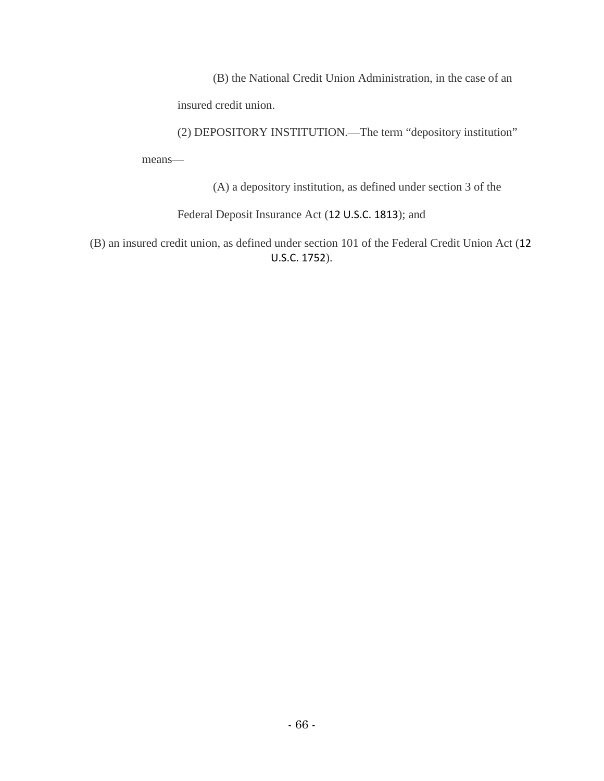(B) the National Credit Union Administration, in the case of an

insured credit union.

(2) DEPOSITORY INSTITUTION.—The term "depository institution" means—

(A) a depository institution, as defined under section 3 of the

Federal Deposit Insurance Act (12 U.S.C. 1813); and

(B) an insured credit union, as defined under section 101 of the Federal Credit Union Act (12 U.S.C. 1752).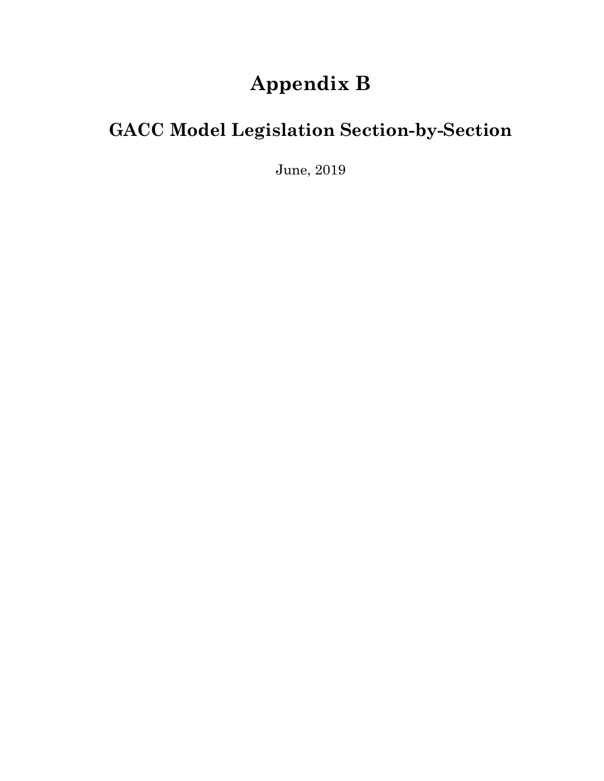## **Appendix B**

## **GACC Model Legislation Section-by-Section**

June, 2019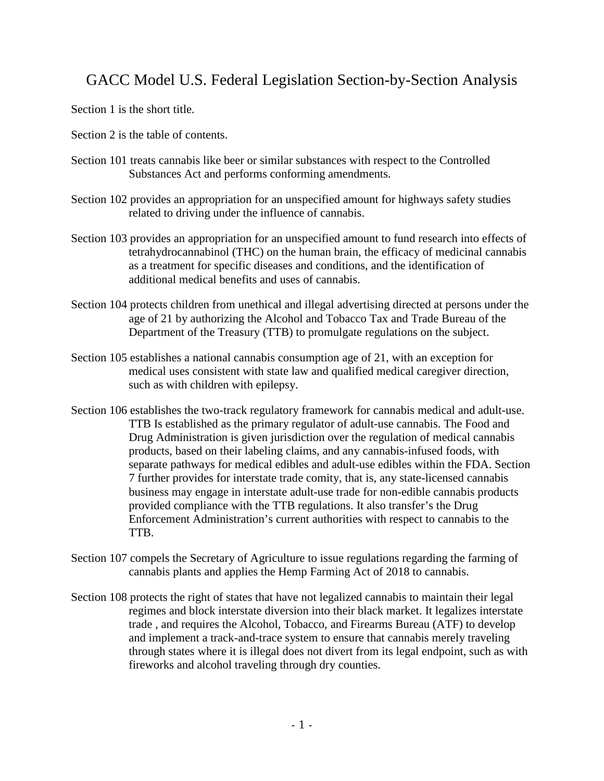## GACC Model U.S. Federal Legislation Section-by-Section Analysis

Section 1 is the short title.

- Section 2 is the table of contents.
- Section 101 treats cannabis like beer or similar substances with respect to the Controlled Substances Act and performs conforming amendments.
- Section 102 provides an appropriation for an unspecified amount for highways safety studies related to driving under the influence of cannabis.
- Section 103 provides an appropriation for an unspecified amount to fund research into effects of tetrahydrocannabinol (THC) on the human brain, the efficacy of medicinal cannabis as a treatment for specific diseases and conditions, and the identification of additional medical benefits and uses of cannabis.
- Section 104 protects children from unethical and illegal advertising directed at persons under the age of 21 by authorizing the Alcohol and Tobacco Tax and Trade Bureau of the Department of the Treasury (TTB) to promulgate regulations on the subject.
- Section 105 establishes a national cannabis consumption age of 21, with an exception for medical uses consistent with state law and qualified medical caregiver direction, such as with children with epilepsy.
- Section 106 establishes the two-track regulatory framework for cannabis medical and adult-use. TTB Is established as the primary regulator of adult-use cannabis. The Food and Drug Administration is given jurisdiction over the regulation of medical cannabis products, based on their labeling claims, and any cannabis-infused foods, with separate pathways for medical edibles and adult-use edibles within the FDA. Section 7 further provides for interstate trade comity, that is, any state-licensed cannabis business may engage in interstate adult-use trade for non-edible cannabis products provided compliance with the TTB regulations. It also transfer's the Drug Enforcement Administration's current authorities with respect to cannabis to the TTB.
- Section 107 compels the Secretary of Agriculture to issue regulations regarding the farming of cannabis plants and applies the Hemp Farming Act of 2018 to cannabis.
- Section 108 protects the right of states that have not legalized cannabis to maintain their legal regimes and block interstate diversion into their black market. It legalizes interstate trade , and requires the Alcohol, Tobacco, and Firearms Bureau (ATF) to develop and implement a track-and-trace system to ensure that cannabis merely traveling through states where it is illegal does not divert from its legal endpoint, such as with fireworks and alcohol traveling through dry counties.